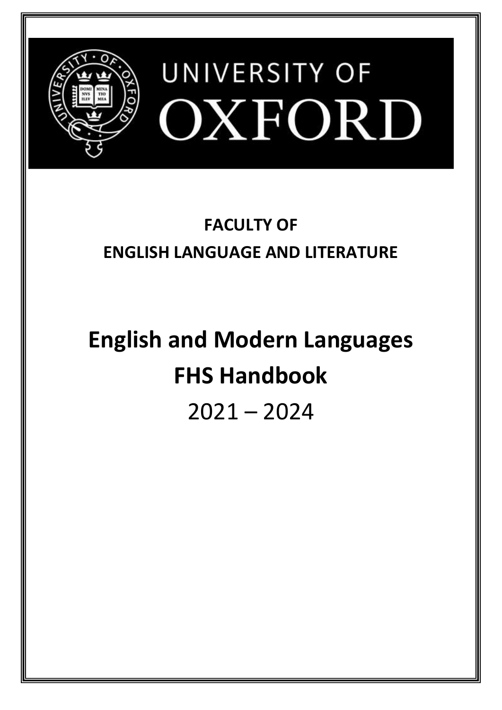

# **FACULTY OF ENGLISH LANGUAGE AND LITERATURE**

# **English and Modern Languages FHS Handbook** 2021 – 2024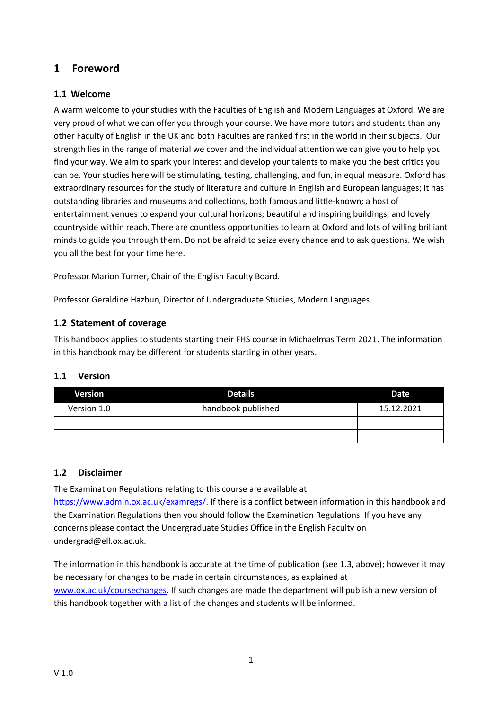# <span id="page-1-0"></span>**1 Foreword**

# <span id="page-1-1"></span>**1.1 Welcome**

A warm welcome to your studies with the Faculties of English and Modern Languages at Oxford. We are very proud of what we can offer you through your course. We have more tutors and students than any other Faculty of English in the UK and both Faculties are ranked first in the world in their subjects. Our strength lies in the range of material we cover and the individual attention we can give you to help you find your way. We aim to spark your interest and develop your talents to make you the best critics you can be. Your studies here will be stimulating, testing, challenging, and fun, in equal measure. Oxford has extraordinary resources for the study of literature and culture in English and European languages; it has outstanding libraries and museums and collections, both famous and little-known; a host of entertainment venues to expand your cultural horizons; beautiful and inspiring buildings; and lovely countryside within reach. There are countless opportunities to learn at Oxford and lots of willing brilliant minds to guide you through them. Do not be afraid to seize every chance and to ask questions. We wish you all the best for your time here.

Professor Marion Turner, Chair of the English Faculty Board.

Professor Geraldine Hazbun, Director of Undergraduate Studies, Modern Languages

# <span id="page-1-2"></span>**1.2 Statement of coverage**

This handbook applies to students starting their FHS course in Michaelmas Term 2021. The information in this handbook may be different for students starting in other years.

#### <span id="page-1-3"></span>**1.1 Version**

| Version     | <b>Details</b>     | Date       |
|-------------|--------------------|------------|
| Version 1.0 | handbook published | 15.12.2021 |
|             |                    |            |
|             |                    |            |

#### <span id="page-1-4"></span>**1.2 Disclaimer**

The Examination Regulations relating to this course are available at [https://www.admin.ox.ac.uk/examregs/.](https://www.admin.ox.ac.uk/examregs/) If there is a conflict between information in this handbook and the Examination Regulations then you should follow the Examination Regulations. If you have any concerns please contact the Undergraduate Studies Office in the English Faculty on undergrad@ell.ox.ac.uk.

The information in this handbook is accurate at the time of publication (see 1.3, above); however it may be necessary for changes to be made in certain circumstances, as explained at [www.ox.ac.uk/coursechanges.](http://www.ox.ac.uk/coursechanges) If such changes are made the department will publish a new version of this handbook together with a list of the changes and students will be informed.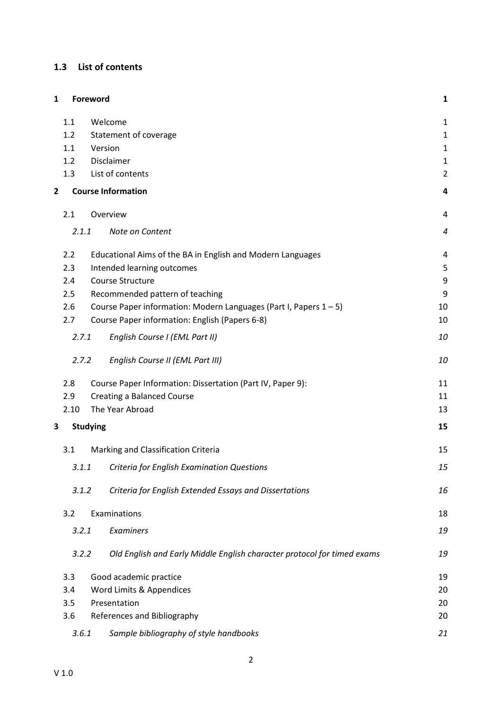# <span id="page-2-0"></span>**1.3 List of contents**

| $\mathbf{1}$   |       | Foreword                                                                | 1              |
|----------------|-------|-------------------------------------------------------------------------|----------------|
|                | 1.1   | Welcome                                                                 | $\mathbf{1}$   |
|                | 1.2   | Statement of coverage                                                   | $\mathbf 1$    |
|                | 1.1   | Version                                                                 | $\mathbf{1}$   |
|                | 1.2   | Disclaimer                                                              | $\mathbf{1}$   |
|                | 1.3   | List of contents                                                        | $\overline{2}$ |
| $\overline{2}$ |       | <b>Course Information</b>                                               | 4              |
|                | 2.1   | Overview                                                                | $\overline{4}$ |
|                | 2.1.1 | Note on Content                                                         | 4              |
|                | 2.2   | Educational Aims of the BA in English and Modern Languages              | $\overline{4}$ |
|                | 2.3   | Intended learning outcomes                                              | 5              |
|                | 2.4   | Course Structure                                                        | 9              |
|                | 2.5   | Recommended pattern of teaching                                         | 9              |
|                | 2.6   | Course Paper information: Modern Languages (Part I, Papers 1-5)         | 10             |
|                | 2.7   | Course Paper information: English (Papers 6-8)                          | 10             |
|                | 2.7.1 | English Course I (EML Part II)                                          | 10             |
|                | 2.7.2 | English Course II (EML Part III)                                        | 10             |
|                | 2.8   | Course Paper Information: Dissertation (Part IV, Paper 9):              | 11             |
|                | 2.9   | <b>Creating a Balanced Course</b>                                       | 11             |
|                | 2.10  | The Year Abroad                                                         | 13             |
| 3              |       | <b>Studying</b>                                                         | 15             |
|                | 3.1   | Marking and Classification Criteria                                     | 15             |
|                | 3.1.1 | Criteria for English Examination Questions                              | 15             |
|                | 3.1.2 | Criteria for English Extended Essays and Dissertations                  | 16             |
|                | 3.2   | Examinations                                                            | 18             |
|                | 3.2.1 | Examiners                                                               | 19             |
|                | 3.2.2 | Old English and Early Middle English character protocol for timed exams | 19             |
|                | 3.3   | Good academic practice                                                  | 19             |
|                | 3.4   | Word Limits & Appendices                                                | 20             |
|                | 3.5   | Presentation                                                            | 20             |
|                | 3.6   | References and Bibliography                                             | 20             |
|                | 3.6.1 | Sample bibliography of style handbooks                                  | 21             |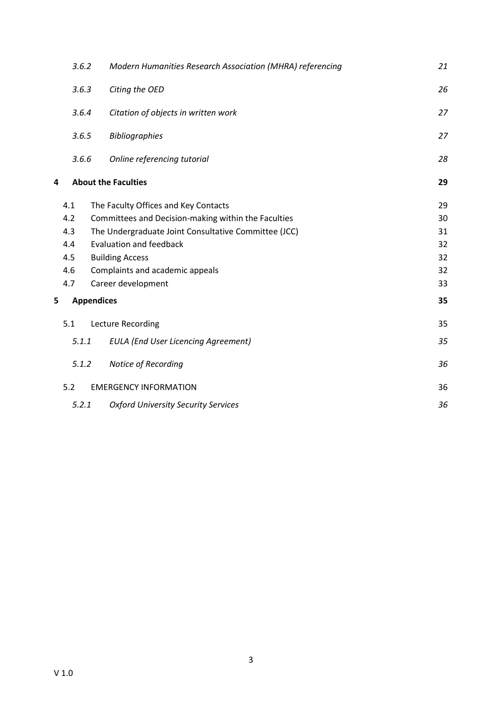|   | 3.6.2             | Modern Humanities Research Association (MHRA) referencing | 21 |
|---|-------------------|-----------------------------------------------------------|----|
|   | 3.6.3             | Citing the OED                                            | 26 |
|   | 3.6.4             | Citation of objects in written work                       | 27 |
|   | 3.6.5             | <b>Bibliographies</b>                                     | 27 |
|   | 3.6.6             | Online referencing tutorial                               | 28 |
| 4 |                   | <b>About the Faculties</b>                                | 29 |
|   | 4.1               | The Faculty Offices and Key Contacts                      | 29 |
|   | 4.2               | Committees and Decision-making within the Faculties       | 30 |
|   | 4.3               | The Undergraduate Joint Consultative Committee (JCC)      | 31 |
|   | 4.4               | <b>Evaluation and feedback</b>                            | 32 |
|   | 4.5               | <b>Building Access</b>                                    | 32 |
|   | 4.6               | Complaints and academic appeals                           | 32 |
|   | 4.7               | Career development                                        | 33 |
| 5 | <b>Appendices</b> |                                                           | 35 |
|   | 5.1               | Lecture Recording                                         | 35 |
|   | 5.1.1             | <b>EULA (End User Licencing Agreement)</b>                | 35 |
|   | 5.1.2             | Notice of Recording                                       | 36 |
|   | 5.2               | <b>EMERGENCY INFORMATION</b>                              | 36 |
|   | 5.2.1             | <b>Oxford University Security Services</b>                | 36 |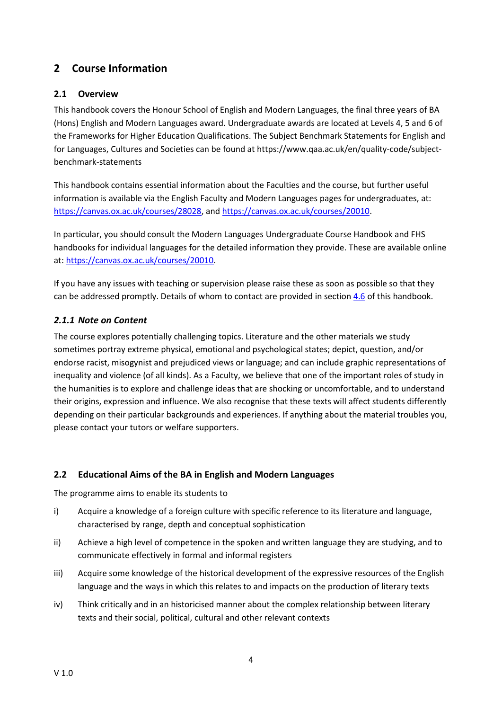# <span id="page-4-0"></span>**2 Course Information**

# <span id="page-4-1"></span>**2.1 Overview**

This handbook covers the Honour School of English and Modern Languages, the final three years of BA (Hons) English and Modern Languages award. Undergraduate awards are located at Levels 4, 5 and 6 of the Frameworks for Higher Education Qualifications. The Subject Benchmark Statements for English and for Languages, Cultures and Societies can be found at https://www.qaa.ac.uk/en/quality-code/subjectbenchmark-statements

This handbook contains essential information about the Faculties and the course, but further useful information is available via the English Faculty and Modern Languages pages for undergraduates, at: [https://canvas.ox.ac.uk/courses/28028,](https://canvas.ox.ac.uk/courses/28028) [and](file:///C:/Users/engf0305/AppData/Local/Microsoft/Windows/AppData/Local/Temp/and) [https://canvas.ox.ac.uk/courses/20010.](https://canvas.ox.ac.uk/courses/20010)

In particular, you should consult the Modern Languages Undergraduate Course Handbook and FHS handbooks for individual languages for the detailed information they provide. These are available online at: [https://canvas.ox.ac.uk/courses/20010.](https://canvas.ox.ac.uk/courses/20010)

If you have any issues with teaching or supervision please raise these as soon as possible so that they can be addressed promptly. Details of whom to contact are provided in section [4.6](#page-32-2) of this handbook.

# <span id="page-4-2"></span>*2.1.1 Note on Content*

The course explores potentially challenging topics. Literature and the other materials we study sometimes portray extreme physical, emotional and psychological states; depict, question, and/or endorse racist, misogynist and prejudiced views or language; and can include graphic representations of inequality and violence (of all kinds). As a Faculty, we believe that one of the important roles of study in the humanities is to explore and challenge ideas that are shocking or uncomfortable, and to understand their origins, expression and influence. We also recognise that these texts will affect students differently depending on their particular backgrounds and experiences. If anything about the material troubles you, please contact your tutors or welfare supporters.

#### <span id="page-4-3"></span>**2.2 Educational Aims of the BA in English and Modern Languages**

The programme aims to enable its students to

- i) Acquire a knowledge of a foreign culture with specific reference to its literature and language, characterised by range, depth and conceptual sophistication
- ii) Achieve a high level of competence in the spoken and written language they are studying, and to communicate effectively in formal and informal registers
- iii) Acquire some knowledge of the historical development of the expressive resources of the English language and the ways in which this relates to and impacts on the production of literary texts
- iv) Think critically and in an historicised manner about the complex relationship between literary texts and their social, political, cultural and other relevant contexts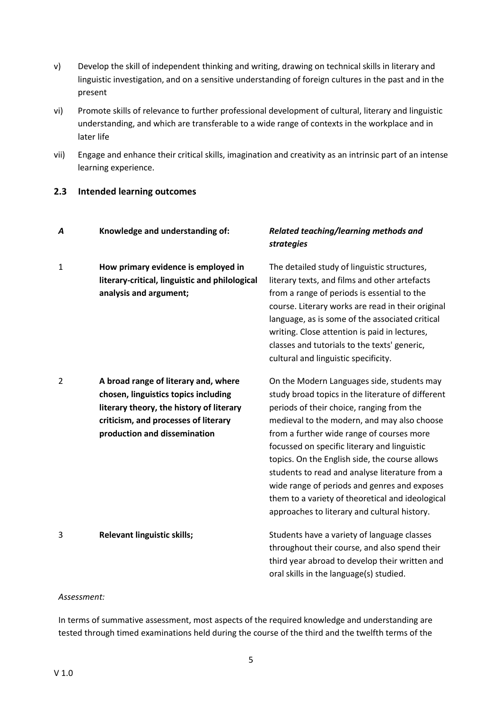- v) Develop the skill of independent thinking and writing, drawing on technical skills in literary and linguistic investigation, and on a sensitive understanding of foreign cultures in the past and in the present
- vi) Promote skills of relevance to further professional development of cultural, literary and linguistic understanding, and which are transferable to a wide range of contexts in the workplace and in later life
- vii) Engage and enhance their critical skills, imagination and creativity as an intrinsic part of an intense learning experience.

#### <span id="page-5-0"></span>**2.3 Intended learning outcomes**

| A | Knowledge and understanding of:                                                                                                                                                                  | Related teaching/learning methods and<br><b>strategies</b>                                                                                                                                                                                                                                                                                                                                                                                                                                                                                       |
|---|--------------------------------------------------------------------------------------------------------------------------------------------------------------------------------------------------|--------------------------------------------------------------------------------------------------------------------------------------------------------------------------------------------------------------------------------------------------------------------------------------------------------------------------------------------------------------------------------------------------------------------------------------------------------------------------------------------------------------------------------------------------|
| 1 | How primary evidence is employed in<br>literary-critical, linguistic and philological<br>analysis and argument;                                                                                  | The detailed study of linguistic structures,<br>literary texts, and films and other artefacts<br>from a range of periods is essential to the<br>course. Literary works are read in their original<br>language, as is some of the associated critical<br>writing. Close attention is paid in lectures,<br>classes and tutorials to the texts' generic,<br>cultural and linguistic specificity.                                                                                                                                                    |
| 2 | A broad range of literary and, where<br>chosen, linguistics topics including<br>literary theory, the history of literary<br>criticism, and processes of literary<br>production and dissemination | On the Modern Languages side, students may<br>study broad topics in the literature of different<br>periods of their choice, ranging from the<br>medieval to the modern, and may also choose<br>from a further wide range of courses more<br>focussed on specific literary and linguistic<br>topics. On the English side, the course allows<br>students to read and analyse literature from a<br>wide range of periods and genres and exposes<br>them to a variety of theoretical and ideological<br>approaches to literary and cultural history. |
| 3 | <b>Relevant linguistic skills;</b>                                                                                                                                                               | Students have a variety of language classes<br>throughout their course, and also spend their<br>third year abroad to develop their written and<br>oral skills in the language(s) studied.                                                                                                                                                                                                                                                                                                                                                        |

#### *Assessment:*

In terms of summative assessment, most aspects of the required knowledge and understanding are tested through timed examinations held during the course of the third and the twelfth terms of the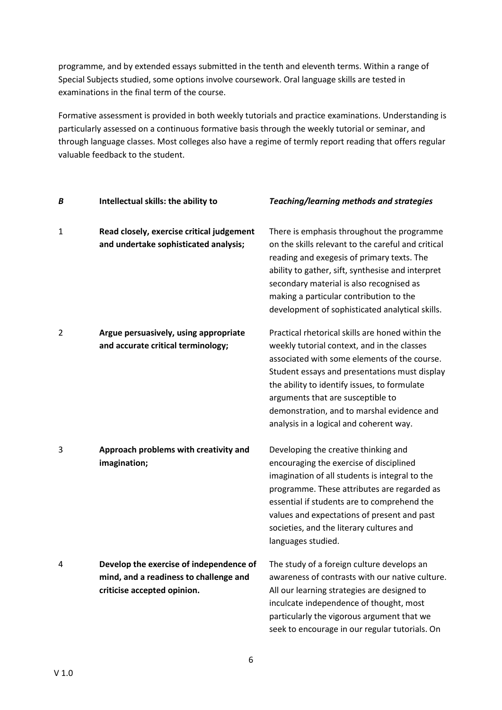programme, and by extended essays submitted in the tenth and eleventh terms. Within a range of Special Subjects studied, some options involve coursework. Oral language skills are tested in examinations in the final term of the course.

Formative assessment is provided in both weekly tutorials and practice examinations. Understanding is particularly assessed on a continuous formative basis through the weekly tutorial or seminar, and through language classes. Most colleges also have a regime of termly report reading that offers regular valuable feedback to the student.

| Β | Intellectual skills: the ability to                                                                              | Teaching/learning methods and strategies                                                                                                                                                                                                                                                                                                                                       |
|---|------------------------------------------------------------------------------------------------------------------|--------------------------------------------------------------------------------------------------------------------------------------------------------------------------------------------------------------------------------------------------------------------------------------------------------------------------------------------------------------------------------|
| 1 | Read closely, exercise critical judgement<br>and undertake sophisticated analysis;                               | There is emphasis throughout the programme<br>on the skills relevant to the careful and critical<br>reading and exegesis of primary texts. The<br>ability to gather, sift, synthesise and interpret<br>secondary material is also recognised as<br>making a particular contribution to the<br>development of sophisticated analytical skills.                                  |
| 2 | Argue persuasively, using appropriate<br>and accurate critical terminology;                                      | Practical rhetorical skills are honed within the<br>weekly tutorial context, and in the classes<br>associated with some elements of the course.<br>Student essays and presentations must display<br>the ability to identify issues, to formulate<br>arguments that are susceptible to<br>demonstration, and to marshal evidence and<br>analysis in a logical and coherent way. |
| 3 | Approach problems with creativity and<br>imagination;                                                            | Developing the creative thinking and<br>encouraging the exercise of disciplined<br>imagination of all students is integral to the<br>programme. These attributes are regarded as<br>essential if students are to comprehend the<br>values and expectations of present and past<br>societies, and the literary cultures and<br>languages studied.                               |
| 4 | Develop the exercise of independence of<br>mind, and a readiness to challenge and<br>criticise accepted opinion. | The study of a foreign culture develops an<br>awareness of contrasts with our native culture.<br>All our learning strategies are designed to<br>inculcate independence of thought, most<br>particularly the vigorous argument that we<br>seek to encourage in our regular tutorials. On                                                                                        |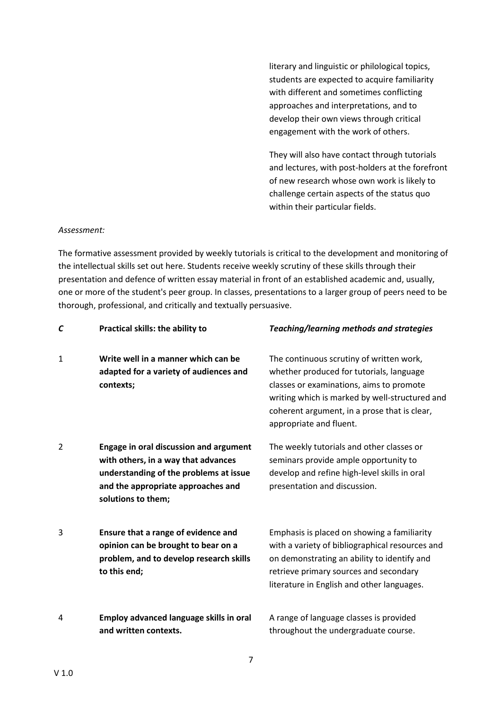literary and linguistic or philological topics, students are expected to acquire familiarity with different and sometimes conflicting approaches and interpretations, and to develop their own views through critical engagement with the work of others.

They will also have contact through tutorials and lectures, with post-holders at the forefront of new research whose own work is likely to challenge certain aspects of the status quo within their particular fields.

#### *Assessment:*

The formative assessment provided by weekly tutorials is critical to the development and monitoring of the intellectual skills set out here. Students receive weekly scrutiny of these skills through their presentation and defence of written essay material in front of an established academic and, usually, one or more of the student's peer group. In classes, presentations to a larger group of peers need to be thorough, professional, and critically and textually persuasive.

| C | Practical skills: the ability to                                                                                                                                                           | Teaching/learning methods and strategies                                                                                                                                                                                                                      |
|---|--------------------------------------------------------------------------------------------------------------------------------------------------------------------------------------------|---------------------------------------------------------------------------------------------------------------------------------------------------------------------------------------------------------------------------------------------------------------|
| 1 | Write well in a manner which can be<br>adapted for a variety of audiences and<br>contexts;                                                                                                 | The continuous scrutiny of written work,<br>whether produced for tutorials, language<br>classes or examinations, aims to promote<br>writing which is marked by well-structured and<br>coherent argument, in a prose that is clear,<br>appropriate and fluent. |
| 2 | <b>Engage in oral discussion and argument</b><br>with others, in a way that advances<br>understanding of the problems at issue<br>and the appropriate approaches and<br>solutions to them; | The weekly tutorials and other classes or<br>seminars provide ample opportunity to<br>develop and refine high-level skills in oral<br>presentation and discussion.                                                                                            |
| 3 | Ensure that a range of evidence and<br>opinion can be brought to bear on a<br>problem, and to develop research skills<br>to this end;                                                      | Emphasis is placed on showing a familiarity<br>with a variety of bibliographical resources and<br>on demonstrating an ability to identify and<br>retrieve primary sources and secondary<br>literature in English and other languages.                         |
| 4 | Employ advanced language skills in oral<br>and written contexts.                                                                                                                           | A range of language classes is provided<br>throughout the undergraduate course.                                                                                                                                                                               |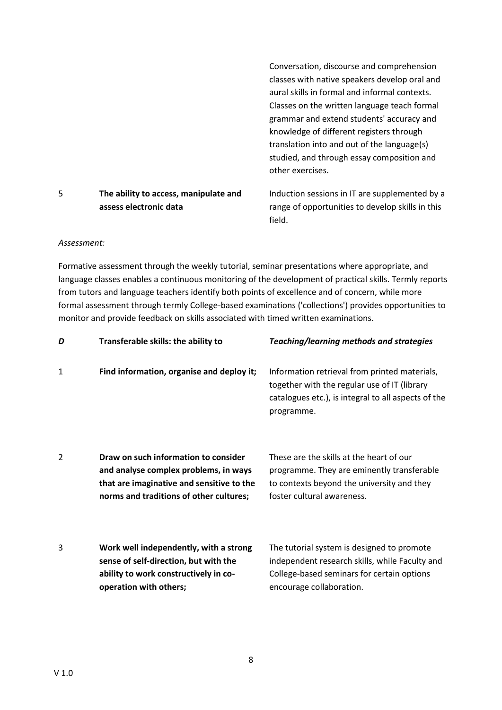|   |                                       | Conversation, discourse and comprehension        |
|---|---------------------------------------|--------------------------------------------------|
|   |                                       | classes with native speakers develop oral and    |
|   |                                       | aural skills in formal and informal contexts.    |
|   |                                       | Classes on the written language teach formal     |
|   |                                       | grammar and extend students' accuracy and        |
|   |                                       | knowledge of different registers through         |
|   |                                       | translation into and out of the language(s)      |
|   |                                       | studied, and through essay composition and       |
|   |                                       | other exercises.                                 |
| 5 | The ability to access, manipulate and | Induction sessions in IT are supplemented by a   |
|   | assess electronic data                | range of opportunities to develop skills in this |
|   |                                       | field.                                           |

#### *Assessment:*

Formative assessment through the weekly tutorial, seminar presentations where appropriate, and language classes enables a continuous monitoring of the development of practical skills. Termly reports from tutors and language teachers identify both points of excellence and of concern, while more formal assessment through termly College-based examinations ('collections') provides opportunities to monitor and provide feedback on skills associated with timed written examinations.

| D              | Transferable skills: the ability to                                                                                                                                   | <b>Teaching/learning methods and strategies</b>                                                                                                                        |
|----------------|-----------------------------------------------------------------------------------------------------------------------------------------------------------------------|------------------------------------------------------------------------------------------------------------------------------------------------------------------------|
| 1              | Find information, organise and deploy it;                                                                                                                             | Information retrieval from printed materials,<br>together with the regular use of IT (library<br>catalogues etc.), is integral to all aspects of the<br>programme.     |
| $\overline{2}$ | Draw on such information to consider<br>and analyse complex problems, in ways<br>that are imaginative and sensitive to the<br>norms and traditions of other cultures; | These are the skills at the heart of our<br>programme. They are eminently transferable<br>to contexts beyond the university and they<br>foster cultural awareness.     |
| 3              | Work well independently, with a strong<br>sense of self-direction, but with the<br>ability to work constructively in co-<br>operation with others;                    | The tutorial system is designed to promote<br>independent research skills, while Faculty and<br>College-based seminars for certain options<br>encourage collaboration. |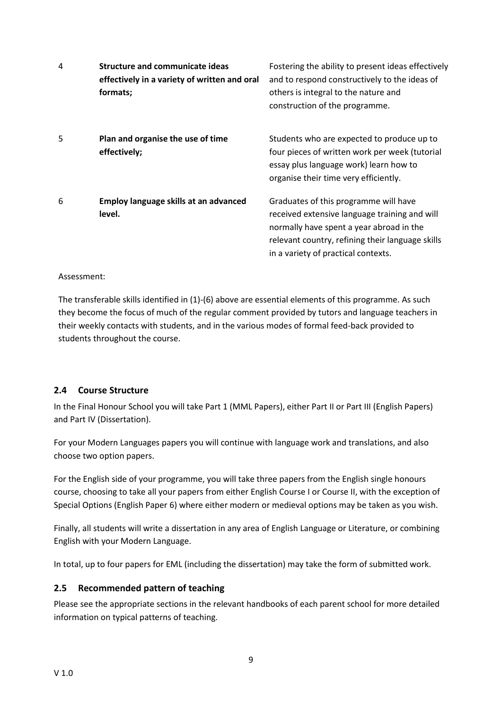| 4 | <b>Structure and communicate ideas</b><br>effectively in a variety of written and oral<br>formats; | Fostering the ability to present ideas effectively<br>and to respond constructively to the ideas of<br>others is integral to the nature and<br>construction of the programme.                                                 |
|---|----------------------------------------------------------------------------------------------------|-------------------------------------------------------------------------------------------------------------------------------------------------------------------------------------------------------------------------------|
| 5 | Plan and organise the use of time<br>effectively;                                                  | Students who are expected to produce up to<br>four pieces of written work per week (tutorial<br>essay plus language work) learn how to<br>organise their time very efficiently.                                               |
| 6 | Employ language skills at an advanced<br>level.                                                    | Graduates of this programme will have<br>received extensive language training and will<br>normally have spent a year abroad in the<br>relevant country, refining their language skills<br>in a variety of practical contexts. |

#### Assessment:

The transferable skills identified in (1)-(6) above are essential elements of this programme. As such they become the focus of much of the regular comment provided by tutors and language teachers in their weekly contacts with students, and in the various modes of formal feed-back provided to students throughout the course.

#### <span id="page-9-0"></span>**2.4 Course Structure**

In the Final Honour School you will take Part 1 (MML Papers), either Part II or Part III (English Papers) and Part IV (Dissertation).

For your Modern Languages papers you will continue with language work and translations, and also choose two option papers.

For the English side of your programme, you will take three papers from the English single honours course, choosing to take all your papers from either English Course I or Course II, with the exception of Special Options (English Paper 6) where either modern or medieval options may be taken as you wish.

Finally, all students will write a dissertation in any area of English Language or Literature, or combining English with your Modern Language.

In total, up to four papers for EML (including the dissertation) may take the form of submitted work.

#### <span id="page-9-1"></span>**2.5 Recommended pattern of teaching**

Please see the appropriate sections in the relevant handbooks of each parent school for more detailed information on typical patterns of teaching.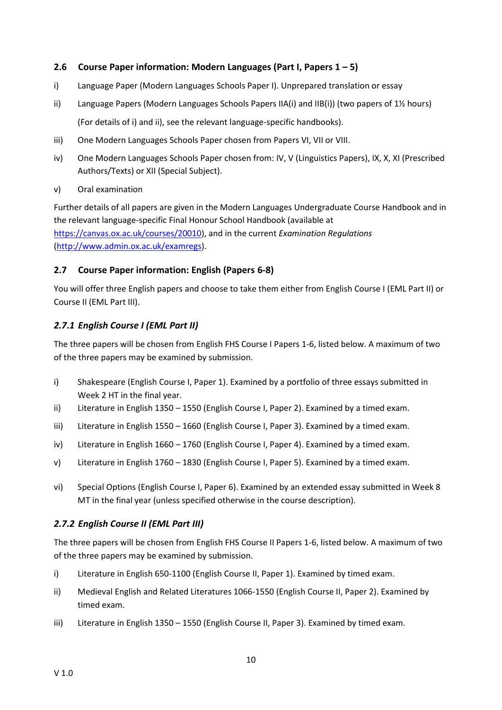#### <span id="page-10-0"></span>**2.6 Course Paper information: Modern Languages (Part I, Papers 1 – 5)**

- i) Language Paper (Modern Languages Schools Paper I). Unprepared translation or essay
- ii) Language Papers (Modern Languages Schools Papers IIA(i) and IIB(i)) (two papers of 1½ hours) (For details of i) and ii), see the relevant language-specific handbooks).
- iii) One Modern Languages Schools Paper chosen from Papers VI, VII or VIII.
- iv) One Modern Languages Schools Paper chosen from: IV, V (Linguistics Papers), IX, X, XI (Prescribed Authors/Texts) or XII (Special Subject).
- v) Oral examination

Further details of all papers are given in the Modern Languages Undergraduate Course Handbook and in the relevant language-specific Final Honour School Handbook (available at [https://canvas.ox.ac.uk/courses/20010\)](https://canvas.ox.ac.uk/courses/20010), and in the current *Examination Regulations* [\(http://www.admin.ox.ac.uk/examregs\)](http://www.admin.ox.ac.uk/examregs).

#### <span id="page-10-1"></span>**2.7 Course Paper information: English (Papers 6-8)**

You will offer three English papers and choose to take them either from English Course I (EML Part II) or Course II (EML Part III).

#### <span id="page-10-2"></span>*2.7.1 English Course I (EML Part II)*

The three papers will be chosen from English FHS Course I Papers 1-6, listed below. A maximum of two of the three papers may be examined by submission.

- i) Shakespeare (English Course I, Paper 1). Examined by a portfolio of three essays submitted in Week 2 HT in the final year.
- ii) Literature in English 1350 1550 (English Course I, Paper 2). Examined by a timed exam.
- iii) Literature in English 1550 1660 (English Course I, Paper 3). Examined by a timed exam.
- iv) Literature in English 1660 1760 (English Course I, Paper 4). Examined by a timed exam.
- v) Literature in English 1760 1830 (English Course I, Paper 5). Examined by a timed exam.
- vi) Special Options (English Course I, Paper 6). Examined by an extended essay submitted in Week 8 MT in the final year (unless specified otherwise in the course description).

#### <span id="page-10-3"></span>*2.7.2 English Course II (EML Part III)*

The three papers will be chosen from English FHS Course II Papers 1-6, listed below. A maximum of two of the three papers may be examined by submission.

- i) Literature in English 650-1100 (English Course II, Paper 1). Examined by timed exam.
- ii) Medieval English and Related Literatures 1066-1550 (English Course II, Paper 2). Examined by timed exam.
- iii) Literature in English 1350 1550 (English Course II, Paper 3). Examined by timed exam.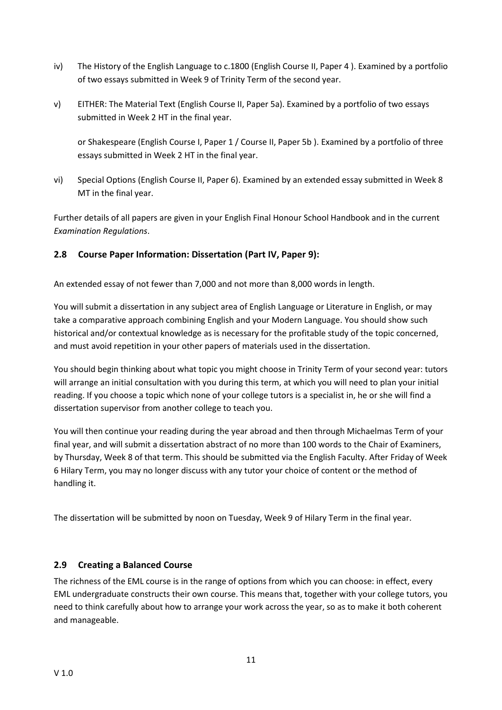- iv) The History of the English Language to c.1800 (English Course II, Paper 4 ). Examined by a portfolio of two essays submitted in Week 9 of Trinity Term of the second year.
- v) EITHER: The Material Text (English Course II, Paper 5a). Examined by a portfolio of two essays submitted in Week 2 HT in the final year.

or Shakespeare (English Course I, Paper 1 / Course II, Paper 5b ). Examined by a portfolio of three essays submitted in Week 2 HT in the final year.

vi) Special Options (English Course II, Paper 6). Examined by an extended essay submitted in Week 8 MT in the final year.

Further details of all papers are given in your English Final Honour School Handbook and in the current *Examination Regulations*.

#### <span id="page-11-0"></span>**2.8 Course Paper Information: Dissertation (Part IV, Paper 9):**

An extended essay of not fewer than 7,000 and not more than 8,000 words in length.

You will submit a dissertation in any subject area of English Language or Literature in English, or may take a comparative approach combining English and your Modern Language. You should show such historical and/or contextual knowledge as is necessary for the profitable study of the topic concerned, and must avoid repetition in your other papers of materials used in the dissertation.

You should begin thinking about what topic you might choose in Trinity Term of your second year: tutors will arrange an initial consultation with you during this term, at which you will need to plan your initial reading. If you choose a topic which none of your college tutors is a specialist in, he or she will find a dissertation supervisor from another college to teach you.

You will then continue your reading during the year abroad and then through Michaelmas Term of your final year, and will submit a dissertation abstract of no more than 100 words to the Chair of Examiners, by Thursday, Week 8 of that term. This should be submitted via the English Faculty. After Friday of Week 6 Hilary Term, you may no longer discuss with any tutor your choice of content or the method of handling it.

The dissertation will be submitted by noon on Tuesday, Week 9 of Hilary Term in the final year.

#### <span id="page-11-1"></span>**2.9 Creating a Balanced Course**

The richness of the EML course is in the range of options from which you can choose: in effect, every EML undergraduate constructs their own course. This means that, together with your college tutors, you need to think carefully about how to arrange your work across the year, so as to make it both coherent and manageable.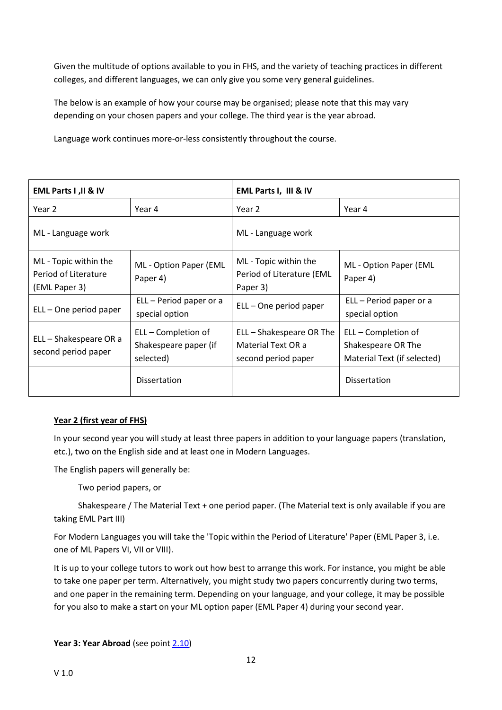Given the multitude of options available to you in FHS, and the variety of teaching practices in different colleges, and different languages, we can only give you some very general guidelines.

The below is an example of how your course may be organised; please note that this may vary depending on your chosen papers and your college. The third year is the year abroad.

Language work continues more-or-less consistently throughout the course.

| EML Parts I , II & IV                                          |                                                           | EML Parts I, III & IV                                                 |                                                                          |
|----------------------------------------------------------------|-----------------------------------------------------------|-----------------------------------------------------------------------|--------------------------------------------------------------------------|
| Year 2                                                         | Year 4                                                    | Year 2                                                                | Year 4                                                                   |
| ML - Language work                                             |                                                           | ML - Language work                                                    |                                                                          |
| ML - Topic within the<br>Period of Literature<br>(EML Paper 3) | ML - Option Paper (EML<br>Paper 4)                        | ML - Topic within the<br>Period of Literature (EML<br>Paper 3)        | ML - Option Paper (EML<br>Paper 4)                                       |
| ELL – One period paper                                         | ELL - Period paper or a<br>special option                 | ELL – One period paper                                                | ELL - Period paper or a<br>special option                                |
| ELL - Shakespeare OR a<br>second period paper                  | ELL – Completion of<br>Shakespeare paper (if<br>selected) | ELL - Shakespeare OR The<br>Material Text OR a<br>second period paper | ELL – Completion of<br>Shakespeare OR The<br>Material Text (if selected) |
|                                                                | <b>Dissertation</b>                                       |                                                                       | <b>Dissertation</b>                                                      |

#### **Year 2 (first year of FHS)**

In your second year you will study at least three papers in addition to your language papers (translation, etc.), two on the English side and at least one in Modern Languages.

The English papers will generally be:

Two period papers, or

Shakespeare / The Material Text + one period paper. (The Material text is only available if you are taking EML Part III)

For Modern Languages you will take the 'Topic within the Period of Literature' Paper (EML Paper 3, i.e. one of ML Papers VI, VII or VIII).

It is up to your college tutors to work out how best to arrange this work. For instance, you might be able to take one paper per term. Alternatively, you might study two papers concurrently during two terms, and one paper in the remaining term. Depending on your language, and your college, it may be possible for you also to make a start on your ML option paper (EML Paper 4) during your second year.

**Year 3: Year Abroad** (see poin[t 2.10\)](#page-13-0)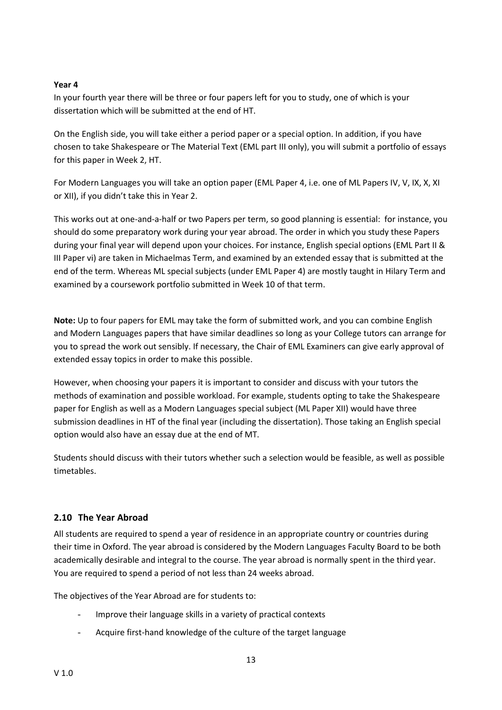#### **Year 4**

In your fourth year there will be three or four papers left for you to study, one of which is your dissertation which will be submitted at the end of HT.

On the English side, you will take either a period paper or a special option. In addition, if you have chosen to take Shakespeare or The Material Text (EML part III only), you will submit a portfolio of essays for this paper in Week 2, HT.

For Modern Languages you will take an option paper (EML Paper 4, i.e. one of ML Papers IV, V, IX, X, XI or XII), if you didn't take this in Year 2.

This works out at one-and-a-half or two Papers per term, so good planning is essential: for instance, you should do some preparatory work during your year abroad. The order in which you study these Papers during your final year will depend upon your choices. For instance, English special options (EML Part II & III Paper vi) are taken in Michaelmas Term, and examined by an extended essay that is submitted at the end of the term. Whereas ML special subjects (under EML Paper 4) are mostly taught in Hilary Term and examined by a coursework portfolio submitted in Week 10 of that term.

**Note:** Up to four papers for EML may take the form of submitted work, and you can combine English and Modern Languages papers that have similar deadlines so long as your College tutors can arrange for you to spread the work out sensibly. If necessary, the Chair of EML Examiners can give early approval of extended essay topics in order to make this possible.

However, when choosing your papers it is important to consider and discuss with your tutors the methods of examination and possible workload. For example, students opting to take the Shakespeare paper for English as well as a Modern Languages special subject (ML Paper XII) would have three submission deadlines in HT of the final year (including the dissertation). Those taking an English special option would also have an essay due at the end of MT.

Students should discuss with their tutors whether such a selection would be feasible, as well as possible timetables.

#### <span id="page-13-0"></span>**2.10 The Year Abroad**

All students are required to spend a year of residence in an appropriate country or countries during their time in Oxford. The year abroad is considered by the Modern Languages Faculty Board to be both academically desirable and integral to the course. The year abroad is normally spent in the third year. You are required to spend a period of not less than 24 weeks abroad.

The objectives of the Year Abroad are for students to:

- Improve their language skills in a variety of practical contexts
- Acquire first-hand knowledge of the culture of the target language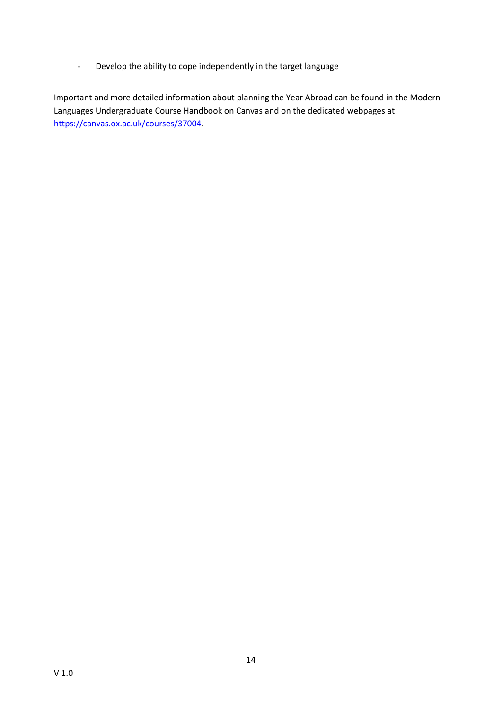- Develop the ability to cope independently in the target language

Important and more detailed information about planning the Year Abroad can be found in the Modern Languages Undergraduate Course Handbook on Canvas and on the dedicated webpages at: [https://canvas.ox.ac.uk/courses/37004.](https://canvas.ox.ac.uk/courses/37004)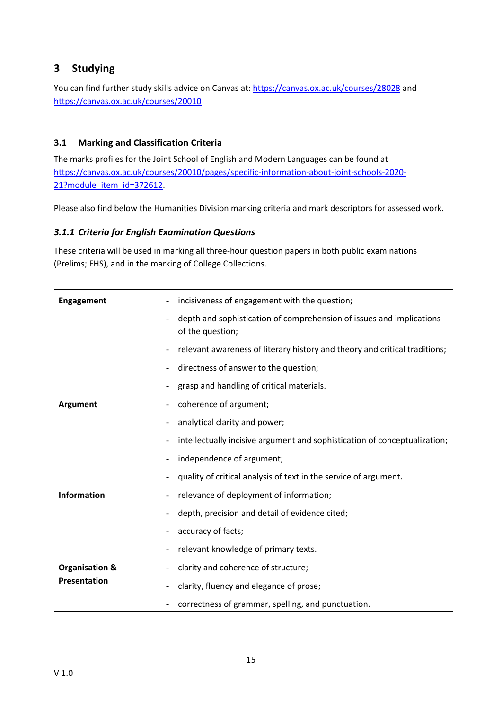# <span id="page-15-0"></span>**3 Studying**

You can find further study skills advice on Canvas at: <https://canvas.ox.ac.uk/courses/28028> and <https://canvas.ox.ac.uk/courses/20010>

# <span id="page-15-1"></span>**3.1 Marking and Classification Criteria**

The marks profiles for the Joint School of English and Modern Languages can be found at [https://canvas.ox.ac.uk/courses/20010/pages/specific-information-about-joint-schools-2020-](https://canvas.ox.ac.uk/courses/20010/pages/specific-information-about-joint-schools-2020-21?module_item_id=372612) [21?module\\_item\\_id=372612.](https://canvas.ox.ac.uk/courses/20010/pages/specific-information-about-joint-schools-2020-21?module_item_id=372612)

Please also find below the Humanities Division marking criteria and mark descriptors for assessed work.

# <span id="page-15-2"></span>*3.1.1 Criteria for English Examination Questions*

These criteria will be used in marking all three-hour question papers in both public examinations (Prelims; FHS), and in the marking of College Collections.

| <b>Engagement</b>         | incisiveness of engagement with the question;<br>$\overline{\phantom{0}}$                                            |  |
|---------------------------|----------------------------------------------------------------------------------------------------------------------|--|
|                           | depth and sophistication of comprehension of issues and implications<br>$\overline{\phantom{a}}$<br>of the question; |  |
|                           | relevant awareness of literary history and theory and critical traditions;                                           |  |
|                           | directness of answer to the question;                                                                                |  |
|                           | grasp and handling of critical materials.                                                                            |  |
| <b>Argument</b>           | coherence of argument;<br>-                                                                                          |  |
|                           | analytical clarity and power;<br>$\overline{\phantom{a}}$                                                            |  |
|                           | intellectually incisive argument and sophistication of conceptualization;<br>$\qquad \qquad -$                       |  |
|                           | independence of argument;                                                                                            |  |
|                           | quality of critical analysis of text in the service of argument.                                                     |  |
| <b>Information</b>        | relevance of deployment of information;                                                                              |  |
|                           | depth, precision and detail of evidence cited;                                                                       |  |
|                           | accuracy of facts;                                                                                                   |  |
|                           | relevant knowledge of primary texts.                                                                                 |  |
| <b>Organisation &amp;</b> | clarity and coherence of structure;                                                                                  |  |
| Presentation              | clarity, fluency and elegance of prose;<br>$\qquad \qquad -$                                                         |  |
|                           | correctness of grammar, spelling, and punctuation.                                                                   |  |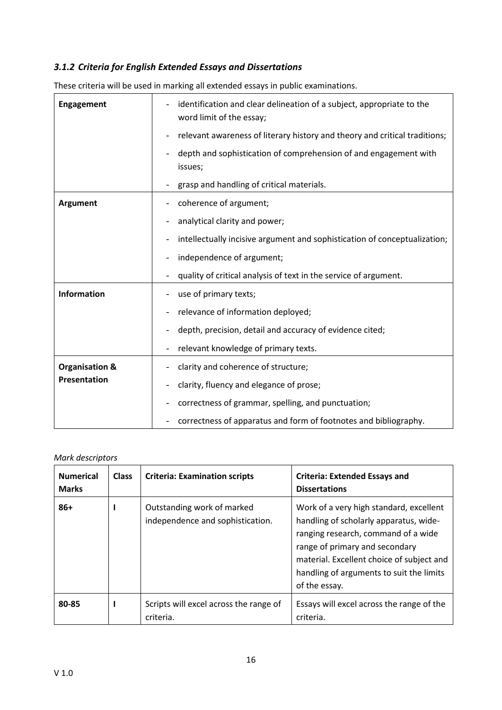# <span id="page-16-0"></span>*3.1.2 Criteria for English Extended Essays and Dissertations*

| <b>Engagement</b>         | identification and clear delineation of a subject, appropriate to the<br>word limit of the essay; |  |
|---------------------------|---------------------------------------------------------------------------------------------------|--|
|                           | relevant awareness of literary history and theory and critical traditions;                        |  |
|                           | depth and sophistication of comprehension of and engagement with<br>issues;                       |  |
|                           | grasp and handling of critical materials.                                                         |  |
| <b>Argument</b>           | coherence of argument;<br>-                                                                       |  |
|                           | analytical clarity and power;                                                                     |  |
|                           | intellectually incisive argument and sophistication of conceptualization;                         |  |
|                           | independence of argument;                                                                         |  |
|                           | quality of critical analysis of text in the service of argument.                                  |  |
| <b>Information</b>        | use of primary texts;                                                                             |  |
|                           | relevance of information deployed;                                                                |  |
|                           | depth, precision, detail and accuracy of evidence cited;                                          |  |
|                           | relevant knowledge of primary texts.                                                              |  |
| <b>Organisation &amp;</b> | clarity and coherence of structure;                                                               |  |
| Presentation              | clarity, fluency and elegance of prose;                                                           |  |
|                           | correctness of grammar, spelling, and punctuation;                                                |  |
|                           | correctness of apparatus and form of footnotes and bibliography.                                  |  |

These criteria will be used in marking all extended essays in public examinations.

#### *Mark descriptors*

| <b>Numerical</b><br><b>Marks</b> | <b>Class</b> | <b>Criteria: Examination scripts</b>                           | <b>Criteria: Extended Essays and</b><br><b>Dissertations</b>                                                                                                                                                                                                         |
|----------------------------------|--------------|----------------------------------------------------------------|----------------------------------------------------------------------------------------------------------------------------------------------------------------------------------------------------------------------------------------------------------------------|
| $86+$                            |              | Outstanding work of marked<br>independence and sophistication. | Work of a very high standard, excellent<br>handling of scholarly apparatus, wide-<br>ranging research, command of a wide<br>range of primary and secondary<br>material. Excellent choice of subject and<br>handling of arguments to suit the limits<br>of the essay. |
| 80-85                            |              | Scripts will excel across the range of<br>criteria.            | Essays will excel across the range of the<br>criteria.                                                                                                                                                                                                               |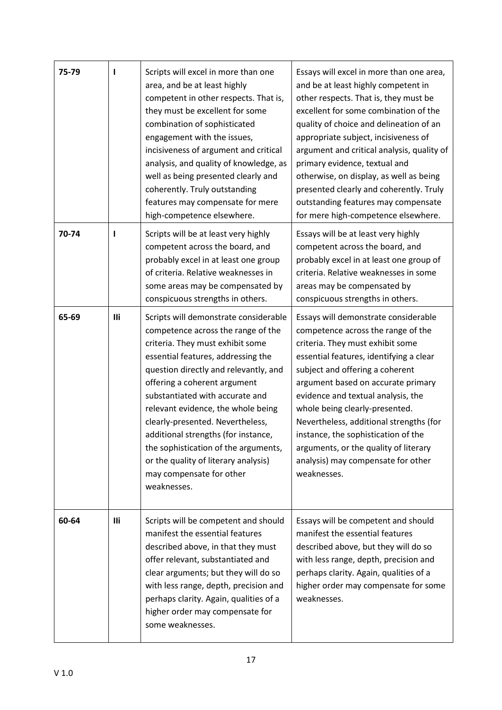| 75-79 |            | Scripts will excel in more than one<br>area, and be at least highly<br>competent in other respects. That is,<br>they must be excellent for some<br>combination of sophisticated<br>engagement with the issues,<br>incisiveness of argument and critical<br>analysis, and quality of knowledge, as<br>well as being presented clearly and<br>coherently. Truly outstanding<br>features may compensate for mere<br>high-competence elsewhere.                                                                   | Essays will excel in more than one area,<br>and be at least highly competent in<br>other respects. That is, they must be<br>excellent for some combination of the<br>quality of choice and delineation of an<br>appropriate subject, incisiveness of<br>argument and critical analysis, quality of<br>primary evidence, textual and<br>otherwise, on display, as well as being<br>presented clearly and coherently. Truly<br>outstanding features may compensate<br>for mere high-competence elsewhere. |
|-------|------------|---------------------------------------------------------------------------------------------------------------------------------------------------------------------------------------------------------------------------------------------------------------------------------------------------------------------------------------------------------------------------------------------------------------------------------------------------------------------------------------------------------------|---------------------------------------------------------------------------------------------------------------------------------------------------------------------------------------------------------------------------------------------------------------------------------------------------------------------------------------------------------------------------------------------------------------------------------------------------------------------------------------------------------|
| 70-74 | I          | Scripts will be at least very highly<br>competent across the board, and<br>probably excel in at least one group<br>of criteria. Relative weaknesses in<br>some areas may be compensated by<br>conspicuous strengths in others.                                                                                                                                                                                                                                                                                | Essays will be at least very highly<br>competent across the board, and<br>probably excel in at least one group of<br>criteria. Relative weaknesses in some<br>areas may be compensated by<br>conspicuous strengths in others.                                                                                                                                                                                                                                                                           |
| 65-69 | Ili        | Scripts will demonstrate considerable<br>competence across the range of the<br>criteria. They must exhibit some<br>essential features, addressing the<br>question directly and relevantly, and<br>offering a coherent argument<br>substantiated with accurate and<br>relevant evidence, the whole being<br>clearly-presented. Nevertheless,<br>additional strengths (for instance,<br>the sophistication of the arguments,<br>or the quality of literary analysis)<br>may compensate for other<br>weaknesses. | Essays will demonstrate considerable<br>competence across the range of the<br>criteria. They must exhibit some<br>essential features, identifying a clear<br>subject and offering a coherent<br>argument based on accurate primary<br>evidence and textual analysis, the<br>whole being clearly-presented.<br>Nevertheless, additional strengths (for<br>instance, the sophistication of the<br>arguments, or the quality of literary<br>analysis) may compensate for other<br>weaknesses.              |
| 60-64 | <b>Ili</b> | Scripts will be competent and should<br>manifest the essential features<br>described above, in that they must<br>offer relevant, substantiated and<br>clear arguments; but they will do so<br>with less range, depth, precision and<br>perhaps clarity. Again, qualities of a<br>higher order may compensate for<br>some weaknesses.                                                                                                                                                                          | Essays will be competent and should<br>manifest the essential features<br>described above, but they will do so<br>with less range, depth, precision and<br>perhaps clarity. Again, qualities of a<br>higher order may compensate for some<br>weaknesses.                                                                                                                                                                                                                                                |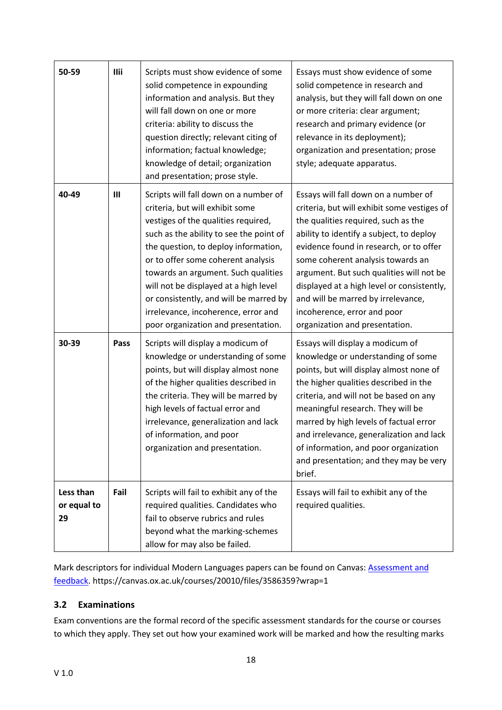| 50-59                          | <b>Ilii</b> | Scripts must show evidence of some<br>solid competence in expounding<br>information and analysis. But they<br>will fall down on one or more<br>criteria: ability to discuss the<br>question directly; relevant citing of<br>information; factual knowledge;<br>knowledge of detail; organization<br>and presentation; prose style.                                                                                                               | Essays must show evidence of some<br>solid competence in research and<br>analysis, but they will fall down on one<br>or more criteria: clear argument;<br>research and primary evidence (or<br>relevance in its deployment);<br>organization and presentation; prose<br>style; adequate apparatus.                                                                                                                                                      |
|--------------------------------|-------------|--------------------------------------------------------------------------------------------------------------------------------------------------------------------------------------------------------------------------------------------------------------------------------------------------------------------------------------------------------------------------------------------------------------------------------------------------|---------------------------------------------------------------------------------------------------------------------------------------------------------------------------------------------------------------------------------------------------------------------------------------------------------------------------------------------------------------------------------------------------------------------------------------------------------|
| 40-49                          | Ш           | Scripts will fall down on a number of<br>criteria, but will exhibit some<br>vestiges of the qualities required,<br>such as the ability to see the point of<br>the question, to deploy information,<br>or to offer some coherent analysis<br>towards an argument. Such qualities<br>will not be displayed at a high level<br>or consistently, and will be marred by<br>irrelevance, incoherence, error and<br>poor organization and presentation. | Essays will fall down on a number of<br>criteria, but will exhibit some vestiges of<br>the qualities required, such as the<br>ability to identify a subject, to deploy<br>evidence found in research, or to offer<br>some coherent analysis towards an<br>argument. But such qualities will not be<br>displayed at a high level or consistently,<br>and will be marred by irrelevance,<br>incoherence, error and poor<br>organization and presentation. |
| 30-39                          | Pass        | Scripts will display a modicum of<br>knowledge or understanding of some<br>points, but will display almost none<br>of the higher qualities described in<br>the criteria. They will be marred by<br>high levels of factual error and<br>irrelevance, generalization and lack<br>of information, and poor<br>organization and presentation.                                                                                                        | Essays will display a modicum of<br>knowledge or understanding of some<br>points, but will display almost none of<br>the higher qualities described in the<br>criteria, and will not be based on any<br>meaningful research. They will be<br>marred by high levels of factual error<br>and irrelevance, generalization and lack<br>of information, and poor organization<br>and presentation; and they may be very<br>brief.                            |
| Less than<br>or equal to<br>29 | Fail        | Scripts will fail to exhibit any of the<br>required qualities. Candidates who<br>fail to observe rubrics and rules<br>beyond what the marking-schemes<br>allow for may also be failed.                                                                                                                                                                                                                                                           | Essays will fail to exhibit any of the<br>required qualities.                                                                                                                                                                                                                                                                                                                                                                                           |

Mark descriptors for individual Modern Languages papers can be found on Canvas[: Assessment and](file:///C:/courses/20010/modules/40787)  [feedback.](file:///C:/courses/20010/modules/40787) https://canvas.ox.ac.uk/courses/20010/files/3586359?wrap=1

# <span id="page-18-0"></span>**3.2 Examinations**

Exam conventions are the formal record of the specific assessment standards for the course or courses to which they apply. They set out how your examined work will be marked and how the resulting marks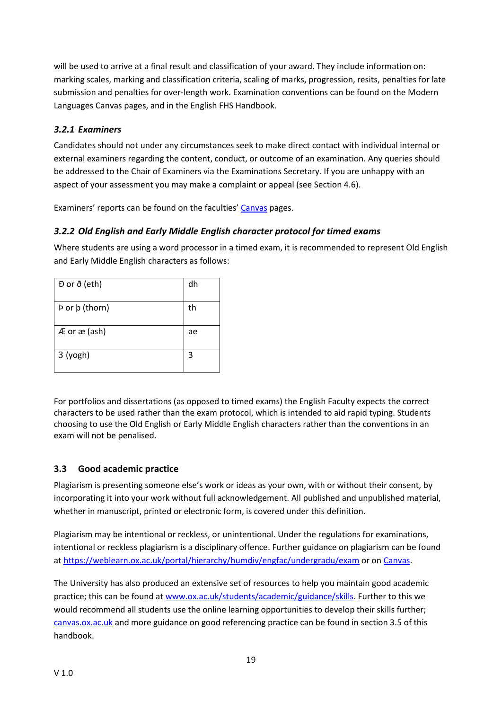will be used to arrive at a final result and classification of your award. They include information on: marking scales, marking and classification criteria, scaling of marks, progression, resits, penalties for late submission and penalties for over-length work. Examination conventions can be found on the Modern Languages Canvas pages, and in the English FHS Handbook.

# <span id="page-19-0"></span>*3.2.1 Examiners*

Candidates should not under any circumstances seek to make direct contact with individual internal or external examiners regarding the content, conduct, or outcome of an examination. Any queries should be addressed to the Chair of Examiners via the Examinations Secretary. If you are unhappy with an aspect of your assessment you may make a complaint or appeal (see Section 4.6).

Examiners' reports can be found on the faculties' [Canvas](https://canvas.ox.ac.uk/courses/28028/pages/examiners-reports?module_item_id=277910) pages.

# <span id="page-19-1"></span>*3.2.2 Old English and Early Middle English character protocol for timed exams*

Where students are using a word processor in a timed exam, it is recommended to represent Old English and Early Middle English characters as follows:

| Đ or ð (eth)                | dh |
|-----------------------------|----|
| Þ or þ (thorn)              | th |
| $AE$ or $\mathcal{E}$ (ash) | ae |
| $3$ (yogh)                  | 3  |

For portfolios and dissertations (as opposed to timed exams) the English Faculty expects the correct characters to be used rather than the exam protocol, which is intended to aid rapid typing. Students choosing to use the Old English or Early Middle English characters rather than the conventions in an exam will not be penalised.

#### <span id="page-19-2"></span>**3.3 Good academic practice**

Plagiarism is presenting someone else's work or ideas as your own, with or without their consent, by incorporating it into your work without full acknowledgement. All published and unpublished material, whether in manuscript, printed or electronic form, is covered under this definition.

Plagiarism may be intentional or reckless, or unintentional. Under the regulations for examinations, intentional or reckless plagiarism is a disciplinary offence. Further guidance on plagiarism can be found at<https://weblearn.ox.ac.uk/portal/hierarchy/humdiv/engfac/undergradu/exam> or on [Canvas.](https://www.canvas.ox.ac.uk/)

The University has also produced an extensive set of resources to help you maintain good academic practice; this can be found at [www.ox.ac.uk/students/academic/guidance/skills.](http://www.ox.ac.uk/students/academic/guidance/skills) Further to this we would recommend all students use the online learning opportunities to develop their skills further; [canvas.ox.ac.uk](https://www.canvas.ox.ac.uk/) and more guidance on good referencing practice can be found in section 3.5 of this handbook.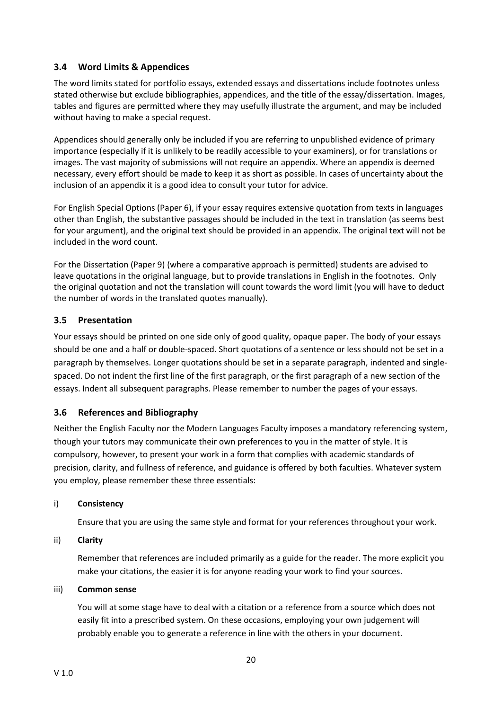#### <span id="page-20-0"></span>**3.4 Word Limits & Appendices**

The word limits stated for portfolio essays, extended essays and dissertations include footnotes unless stated otherwise but exclude bibliographies, appendices, and the title of the essay/dissertation. Images, tables and figures are permitted where they may usefully illustrate the argument, and may be included without having to make a special request.

Appendices should generally only be included if you are referring to unpublished evidence of primary importance (especially if it is unlikely to be readily accessible to your examiners), or for translations or images. The vast majority of submissions will not require an appendix. Where an appendix is deemed necessary, every effort should be made to keep it as short as possible. In cases of uncertainty about the inclusion of an appendix it is a good idea to consult your tutor for advice.

For English Special Options (Paper 6), if your essay requires extensive quotation from texts in languages other than English, the substantive passages should be included in the text in translation (as seems best for your argument), and the original text should be provided in an appendix. The original text will not be included in the word count.

For the Dissertation (Paper 9) (where a comparative approach is permitted) students are advised to leave quotations in the original language, but to provide translations in English in the footnotes. Only the original quotation and not the translation will count towards the word limit (you will have to deduct the number of words in the translated quotes manually).

# <span id="page-20-1"></span>**3.5 Presentation**

Your essays should be printed on one side only of good quality, opaque paper. The body of your essays should be one and a half or double-spaced. Short quotations of a sentence or less should not be set in a paragraph by themselves. Longer quotations should be set in a separate paragraph, indented and singlespaced. Do not indent the first line of the first paragraph, or the first paragraph of a new section of the essays. Indent all subsequent paragraphs. Please remember to number the pages of your essays.

#### <span id="page-20-2"></span>**3.6 References and Bibliography**

Neither the English Faculty nor the Modern Languages Faculty imposes a mandatory referencing system, though your tutors may communicate their own preferences to you in the matter of style. It is compulsory, however, to present your work in a form that complies with academic standards of precision, clarity, and fullness of reference, and guidance is offered by both faculties. Whatever system you employ, please remember these three essentials:

#### i) **Consistency**

Ensure that you are using the same style and format for your references throughout your work.

#### ii) **Clarity**

Remember that references are included primarily as a guide for the reader. The more explicit you make your citations, the easier it is for anyone reading your work to find your sources.

#### iii) **Common sense**

You will at some stage have to deal with a citation or a reference from a source which does not easily fit into a prescribed system. On these occasions, employing your own judgement will probably enable you to generate a reference in line with the others in your document.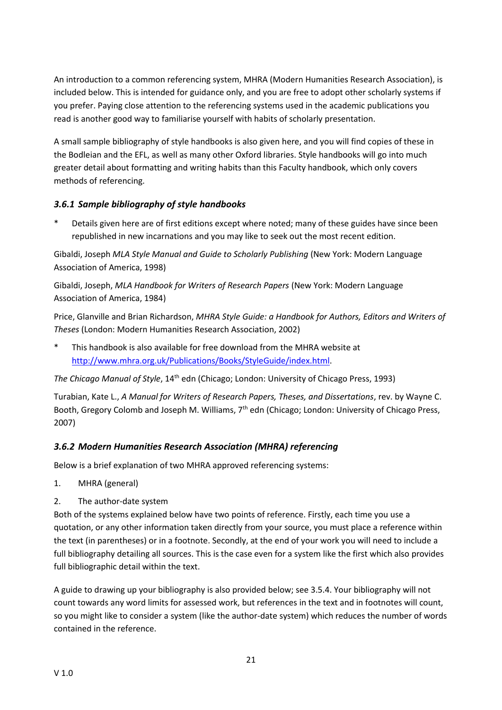An introduction to a common referencing system, MHRA (Modern Humanities Research Association), is included below. This is intended for guidance only, and you are free to adopt other scholarly systems if you prefer. Paying close attention to the referencing systems used in the academic publications you read is another good way to familiarise yourself with habits of scholarly presentation.

A small sample bibliography of style handbooks is also given here, and you will find copies of these in the Bodleian and the EFL, as well as many other Oxford libraries. Style handbooks will go into much greater detail about formatting and writing habits than this Faculty handbook, which only covers methods of referencing.

# <span id="page-21-0"></span>*3.6.1 Sample bibliography of style handbooks*

Details given here are of first editions except where noted; many of these guides have since been republished in new incarnations and you may like to seek out the most recent edition.

Gibaldi, Joseph *MLA Style Manual and Guide to Scholarly Publishing* (New York: Modern Language Association of America, 1998)

Gibaldi, Joseph, *MLA Handbook for Writers of Research Papers* (New York: Modern Language Association of America, 1984)

Price, Glanville and Brian Richardson, *MHRA Style Guide: a Handbook for Authors, Editors and Writers of Theses* (London: Modern Humanities Research Association, 2002)

\* This handbook is also available for free download from the MHRA website at [http://www.mhra.org.uk/Publications/Books/StyleGuide/index.html.](http://www.mhra.org.uk/Publications/Books/StyleGuide/index.html)

*The Chicago Manual of Style*, 14th edn (Chicago; London: University of Chicago Press, 1993)

Turabian, Kate L., *A Manual for Writers of Research Papers, Theses, and Dissertations*, rev. by Wayne C. Booth, Gregory Colomb and Joseph M. Williams, 7<sup>th</sup> edn (Chicago; London: University of Chicago Press, 2007)

# <span id="page-21-1"></span>*3.6.2 Modern Humanities Research Association (MHRA) referencing*

Below is a brief explanation of two MHRA approved referencing systems:

- 1. MHRA (general)
- 2. The author-date system

Both of the systems explained below have two points of reference. Firstly, each time you use a quotation, or any other information taken directly from your source, you must place a reference within the text (in parentheses) or in a footnote. Secondly, at the end of your work you will need to include a full bibliography detailing all sources. This is the case even for a system like the first which also provides full bibliographic detail within the text.

A guide to drawing up your bibliography is also provided below; see 3.5.4. Your bibliography will not count towards any word limits for assessed work, but references in the text and in footnotes will count, so you might like to consider a system (like the author-date system) which reduces the number of words contained in the reference.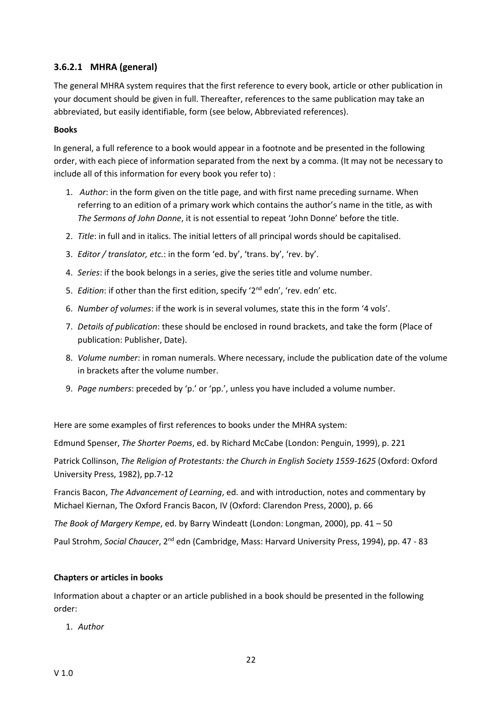# **3.6.2.1 MHRA (general)**

The general MHRA system requires that the first reference to every book, article or other publication in your document should be given in full. Thereafter, references to the same publication may take an abbreviated, but easily identifiable, form (see below, Abbreviated references).

#### **Books**

In general, a full reference to a book would appear in a footnote and be presented in the following order, with each piece of information separated from the next by a comma. (It may not be necessary to include all of this information for every book you refer to) :

- 1. *Author*: in the form given on the title page, and with first name preceding surname. When referring to an edition of a primary work which contains the author's name in the title, as with *The Sermons of John Donne*, it is not essential to repeat 'John Donne' before the title.
- 2. *Title*: in full and in italics. The initial letters of all principal words should be capitalised.
- 3. *Editor / translator, etc.*: in the form 'ed. by', 'trans. by', 'rev. by'.
- 4. *Series*: if the book belongs in a series, give the series title and volume number.
- 5. *Edition*: if other than the first edition, specify '2nd edn', 'rev. edn' etc.
- 6. *Number of volumes*: if the work is in several volumes, state this in the form '4 vols'.
- 7. *Details of publication*: these should be enclosed in round brackets, and take the form (Place of publication: Publisher, Date).
- 8. *Volume number*: in roman numerals. Where necessary, include the publication date of the volume in brackets after the volume number.
- 9. *Page numbers*: preceded by 'p.' or 'pp.', unless you have included a volume number.

Here are some examples of first references to books under the MHRA system:

Edmund Spenser, *The Shorter Poems*, ed. by Richard McCabe (London: Penguin, 1999), p. 221

Patrick Collinson, *The Religion of Protestants: the Church in English Society 1559-1625* (Oxford: Oxford University Press, 1982), pp.7-12

Francis Bacon, *The Advancement of Learning*, ed. and with introduction, notes and commentary by Michael Kiernan, The Oxford Francis Bacon, IV (Oxford: Clarendon Press, 2000), p. 66

*The Book of Margery Kempe*, ed. by Barry Windeatt (London: Longman, 2000), pp. 41 – 50

Paul Strohm, *Social Chaucer*, 2nd edn (Cambridge, Mass: Harvard University Press, 1994), pp. 47 - 83

#### **Chapters or articles in books**

Information about a chapter or an article published in a book should be presented in the following order:

1. *Author*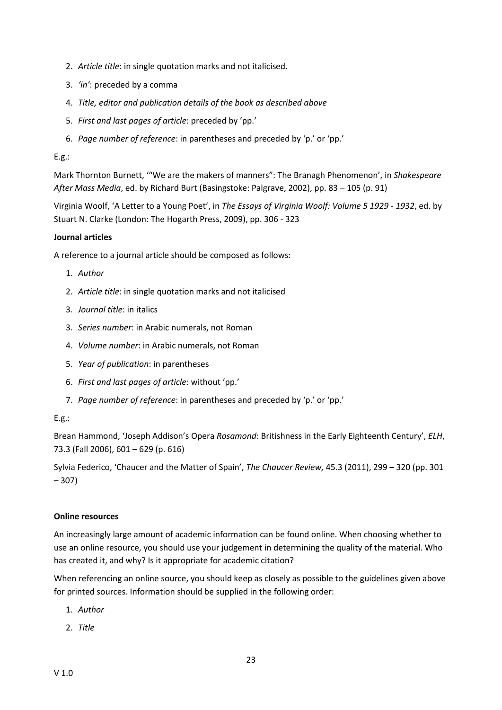- 2. *Article title*: in single quotation marks and not italicised.
- 3. *'in'*: preceded by a comma
- 4. *Title, editor and publication details of the book as described above*
- 5. *First and last pages of article*: preceded by 'pp.'
- 6. *Page number of reference*: in parentheses and preceded by 'p.' or 'pp.'

#### $E.g.:$

Mark Thornton Burnett, '"We are the makers of manners": The Branagh Phenomenon', in *Shakespeare After Mass Media*, ed. by Richard Burt (Basingstoke: Palgrave, 2002), pp. 83 – 105 (p. 91)

Virginia Woolf, 'A Letter to a Young Poet', in *The Essays of Virginia Woolf: Volume 5 1929 - 1932*, ed. by Stuart N. Clarke (London: The Hogarth Press, 2009), pp. 306 - 323

#### **Journal articles**

A reference to a journal article should be composed as follows:

- 1. *Author*
- 2. *Article title*: in single quotation marks and not italicised
- 3. *Journal title*: in italics
- 3. *Series number*: in Arabic numerals, not Roman
- 4. *Volume number*: in Arabic numerals, not Roman
- 5. *Year of publication*: in parentheses
- 6. *First and last pages of article*: without 'pp.'
- 7. *Page number of reference*: in parentheses and preceded by 'p.' or 'pp.'

#### E.g.:

Brean Hammond, 'Joseph Addison's Opera *Rosamond*: Britishness in the Early Eighteenth Century', *ELH*, 73.3 (Fall 2006), 601 – 629 (p. 616)

Sylvia Federico, 'Chaucer and the Matter of Spain', *The Chaucer Review,* 45.3 (2011), 299 – 320 (pp. 301 – 307)

#### **Online resources**

An increasingly large amount of academic information can be found online. When choosing whether to use an online resource, you should use your judgement in determining the quality of the material. Who has created it, and why? Is it appropriate for academic citation?

When referencing an online source, you should keep as closely as possible to the guidelines given above for printed sources. Information should be supplied in the following order:

- 1. *Author*
- 2. *Title*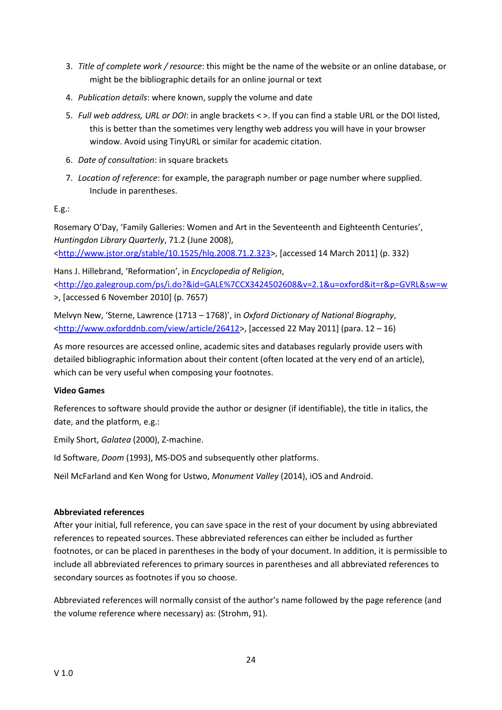- 3. *Title of complete work / resource*: this might be the name of the website or an online database, or might be the bibliographic details for an online journal or text
- 4. *Publication details*: where known, supply the volume and date
- 5. *Full web address, URL or DOI*: in angle brackets < >. If you can find a stable URL or the DOI listed, this is better than the sometimes very lengthy web address you will have in your browser window. Avoid using TinyURL or similar for academic citation.
- 6. *Date of consultation*: in square brackets
- 7. *Location of reference*: for example, the paragraph number or page number where supplied. Include in parentheses.

E.g.:

Rosemary O'Day, 'Family Galleries: Women and Art in the Seventeenth and Eighteenth Centuries', *Huntingdon Library Quarterly*, 71.2 (June 2008), [<http://www.jstor.org/stable/10.1525/hlq.2008.71.2.323>](http://www.jstor.org/stable/10.1525/hlq.2008.71.2.323), [accessed 14 March 2011] (p. 332)

Hans J. Hillebrand, 'Reformation', in *Encyclopedia of Religion*, [<http://go.galegroup.com/ps/i.do?&id=GALE%7CCX3424502608&v=2.1&u=oxford&it=r&p=GVRL&sw=w](http://go.galegroup.com/ps/i.do?&id=GALE%7CCX3424502608&v=2.1&u=oxford&it=r&p=GVRL&sw=w) >, [accessed 6 November 2010] (p. 7657)

Melvyn New, 'Sterne, Lawrence (1713 – 1768)', in *Oxford Dictionary of National Biography*, [<http://www.oxforddnb.com/view/article/26412>](http://www.oxforddnb.com/view/article/26412), [accessed 22 May 2011] (para. 12 – 16)

As more resources are accessed online, academic sites and databases regularly provide users with detailed bibliographic information about their content (often located at the very end of an article), which can be very useful when composing your footnotes.

#### **Video Games**

References to software should provide the author or designer (if identifiable), the title in italics, the date, and the platform, e.g.:

Emily Short, *Galatea* (2000), Z-machine.

Id Software, *Doom* (1993), MS-DOS and subsequently other platforms.

Neil McFarland and Ken Wong for Ustwo, *Monument Valley* (2014), iOS and Android.

#### **Abbreviated references**

After your initial, full reference, you can save space in the rest of your document by using abbreviated references to repeated sources. These abbreviated references can either be included as further footnotes, or can be placed in parentheses in the body of your document. In addition, it is permissible to include all abbreviated references to primary sources in parentheses and all abbreviated references to secondary sources as footnotes if you so choose.

Abbreviated references will normally consist of the author's name followed by the page reference (and the volume reference where necessary) as: (Strohm, 91).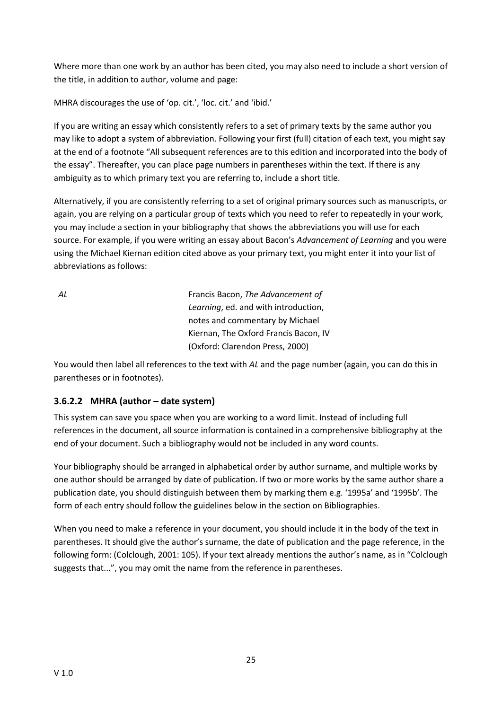Where more than one work by an author has been cited, you may also need to include a short version of the title, in addition to author, volume and page:

MHRA discourages the use of 'op. cit.', 'loc. cit.' and 'ibid.'

If you are writing an essay which consistently refers to a set of primary texts by the same author you may like to adopt a system of abbreviation. Following your first (full) citation of each text, you might say at the end of a footnote "All subsequent references are to this edition and incorporated into the body of the essay". Thereafter, you can place page numbers in parentheses within the text. If there is any ambiguity as to which primary text you are referring to, include a short title.

Alternatively, if you are consistently referring to a set of original primary sources such as manuscripts, or again, you are relying on a particular group of texts which you need to refer to repeatedly in your work, you may include a section in your bibliography that shows the abbreviations you will use for each source. For example, if you were writing an essay about Bacon's *Advancement of Learning* and you were using the Michael Kiernan edition cited above as your primary text, you might enter it into your list of abbreviations as follows:

*AL* Francis Bacon, *The Advancement of Learning*, ed. and with introduction, notes and commentary by Michael Kiernan, The Oxford Francis Bacon, IV (Oxford: Clarendon Press, 2000)

You would then label all references to the text with *AL* and the page number (again, you can do this in parentheses or in footnotes).

# **3.6.2.2 MHRA (author – date system)**

This system can save you space when you are working to a word limit. Instead of including full references in the document, all source information is contained in a comprehensive bibliography at the end of your document. Such a bibliography would not be included in any word counts.

Your bibliography should be arranged in alphabetical order by author surname, and multiple works by one author should be arranged by date of publication. If two or more works by the same author share a publication date, you should distinguish between them by marking them e.g. '1995a' and '1995b'. The form of each entry should follow the guidelines below in the section on Bibliographies.

When you need to make a reference in your document, you should include it in the body of the text in parentheses. It should give the author's surname, the date of publication and the page reference, in the following form: (Colclough, 2001: 105). If your text already mentions the author's name, as in "Colclough suggests that...", you may omit the name from the reference in parentheses.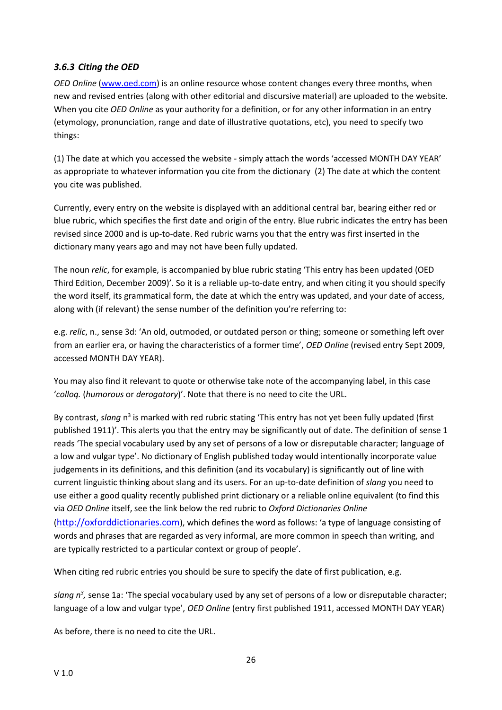# <span id="page-26-0"></span>*3.6.3 Citing the OED*

*OED Online* [\(www.oed.com\)](http://www.oed.com/) is an online resource whose content changes every three months, when new and revised entries (along with other editorial and discursive material) are uploaded to the website. When you cite *OED Online* as your authority for a definition, or for any other information in an entry (etymology, pronunciation, range and date of illustrative quotations, etc), you need to specify two things:

(1) The date at which you accessed the website - simply attach the words 'accessed MONTH DAY YEAR' as appropriate to whatever information you cite from the dictionary (2) The date at which the content you cite was published.

Currently, every entry on the website is displayed with an additional central bar, bearing either red or blue rubric, which specifies the first date and origin of the entry. Blue rubric indicates the entry has been revised since 2000 and is up-to-date. Red rubric warns you that the entry was first inserted in the dictionary many years ago and may not have been fully updated.

The noun *relic*, for example, is accompanied by blue rubric stating 'This entry has been updated (OED Third Edition, December 2009)'. So it is a reliable up-to-date entry, and when citing it you should specify the word itself, its grammatical form, the date at which the entry was updated, and your date of access, along with (if relevant) the sense number of the definition you're referring to:

e.g. *relic*, n., sense 3d: 'An old, outmoded, or outdated person or thing; someone or something left over from an earlier era, or having the characteristics of a former time', *OED Online* (revised entry Sept 2009, accessed MONTH DAY YEAR).

You may also find it relevant to quote or otherwise take note of the accompanying label, in this case '*colloq.* (*humorous* or *derogatory*)'. Note that there is no need to cite the URL.

By contrast, slang n<sup>3</sup> is marked with red rubric stating 'This entry has not yet been fully updated (first published 1911)'. This alerts you that the entry may be significantly out of date. The definition of sense 1 reads 'The special vocabulary used by any set of persons of a low or disreputable character; language of a low and vulgar type'. No dictionary of English published today would intentionally incorporate value judgements in its definitions, and this definition (and its vocabulary) is significantly out of line with current linguistic thinking about slang and its users. For an up-to-date definition of *slang* you need to use either a good quality recently published print dictionary or a reliable online equivalent (to find this via *OED Online* itself, see the link below the red rubric to *Oxford Dictionaries Online*  ([http://oxforddictionaries.com](http://oxforddictionaries.com/)), which defines the word as follows: 'a type of language consisting of words and phrases that are regarded as very informal, are more common in speech than writing, and are typically restricted to a particular context or group of people'.

When citing red rubric entries you should be sure to specify the date of first publication, e.g.

slang  $n^3$ , sense 1a: 'The special vocabulary used by any set of persons of a low or disreputable character; language of a low and vulgar type', *OED Online* (entry first published 1911, accessed MONTH DAY YEAR)

As before, there is no need to cite the URL.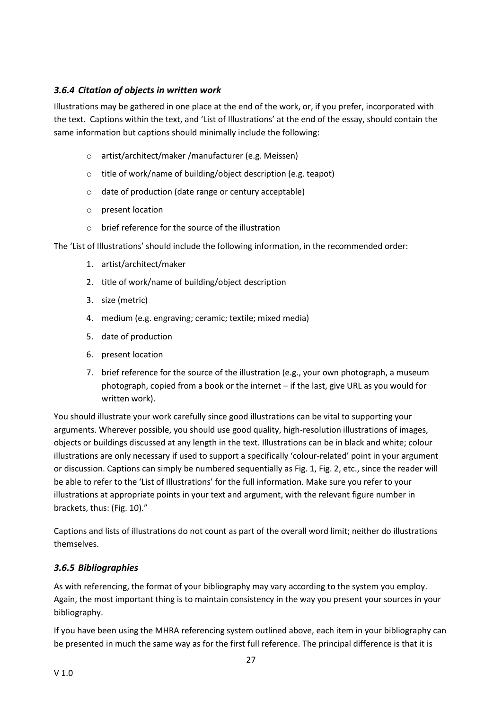# <span id="page-27-0"></span>*3.6.4 Citation of objects in written work*

Illustrations may be gathered in one place at the end of the work, or, if you prefer, incorporated with the text. Captions within the text, and 'List of Illustrations' at the end of the essay, should contain the same information but captions should minimally include the following:

- o artist/architect/maker /manufacturer (e.g. Meissen)
- o title of work/name of building/object description (e.g. teapot)
- o date of production (date range or century acceptable)
- o present location
- $\circ$  brief reference for the source of the illustration

The 'List of Illustrations' should include the following information, in the recommended order:

- 1. artist/architect/maker
- 2. title of work/name of building/object description
- 3. size (metric)
- 4. medium (e.g. engraving; ceramic; textile; mixed media)
- 5. date of production
- 6. present location
- 7. brief reference for the source of the illustration (e.g., your own photograph, a museum photograph, copied from a book or the internet – if the last, give URL as you would for written work).

You should illustrate your work carefully since good illustrations can be vital to supporting your arguments. Wherever possible, you should use good quality, high-resolution illustrations of images, objects or buildings discussed at any length in the text. Illustrations can be in black and white; colour illustrations are only necessary if used to support a specifically 'colour-related' point in your argument or discussion. Captions can simply be numbered sequentially as Fig. 1, Fig. 2, etc., since the reader will be able to refer to the 'List of Illustrations' for the full information. Make sure you refer to your illustrations at appropriate points in your text and argument, with the relevant figure number in brackets, thus: (Fig. 10)."

Captions and lists of illustrations do not count as part of the overall word limit; neither do illustrations themselves.

#### <span id="page-27-1"></span>*3.6.5 Bibliographies*

As with referencing, the format of your bibliography may vary according to the system you employ. Again, the most important thing is to maintain consistency in the way you present your sources in your bibliography.

If you have been using the MHRA referencing system outlined above, each item in your bibliography can be presented in much the same way as for the first full reference. The principal difference is that it is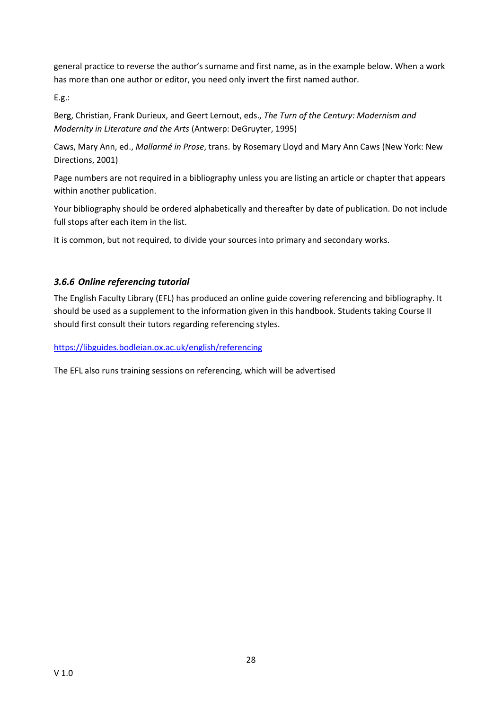general practice to reverse the author's surname and first name, as in the example below. When a work has more than one author or editor, you need only invert the first named author.

E.g.:

Berg, Christian, Frank Durieux, and Geert Lernout, eds., *The Turn of the Century: Modernism and Modernity in Literature and the Arts* (Antwerp: DeGruyter, 1995)

Caws, Mary Ann, ed., *Mallarmé in Prose*, trans. by Rosemary Lloyd and Mary Ann Caws (New York: New Directions, 2001)

Page numbers are not required in a bibliography unless you are listing an article or chapter that appears within another publication.

Your bibliography should be ordered alphabetically and thereafter by date of publication. Do not include full stops after each item in the list.

It is common, but not required, to divide your sources into primary and secondary works.

# <span id="page-28-0"></span>*3.6.6 Online referencing tutorial*

The English Faculty Library (EFL) has produced an online guide covering referencing and bibliography. It should be used as a supplement to the information given in this handbook. Students taking Course II should first consult their tutors regarding referencing styles.

<https://libguides.bodleian.ox.ac.uk/english/referencing>

The EFL also runs training sessions on referencing, which will be advertised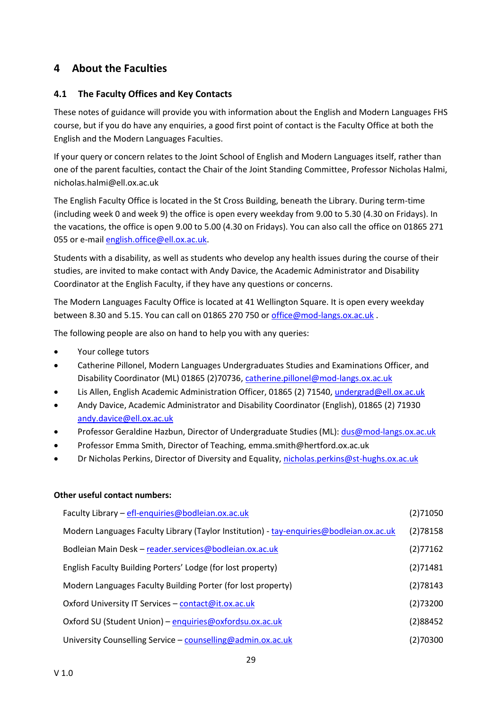# <span id="page-29-0"></span>**4 About the Faculties**

#### <span id="page-29-1"></span>**4.1 The Faculty Offices and Key Contacts**

These notes of guidance will provide you with information about the English and Modern Languages FHS course, but if you do have any enquiries, a good first point of contact is the Faculty Office at both the English and the Modern Languages Faculties.

If your query or concern relates to the Joint School of English and Modern Languages itself, rather than one of the parent faculties, contact the Chair of the Joint Standing Committee, Professor Nicholas Halmi, nicholas.halmi@ell.ox.ac.uk

The English Faculty Office is located in the St Cross Building, beneath the Library. During term-time (including week 0 and week 9) the office is open every weekday from 9.00 to 5.30 (4.30 on Fridays). In the vacations, the office is open 9.00 to 5.00 (4.30 on Fridays). You can also call the office on 01865 271 055 or e-mai[l english.office@ell.ox.ac.uk.](mailto:english.office@ell.ox.ac.uk)

Students with a disability, as well as students who develop any health issues during the course of their studies, are invited to make contact with Andy Davice, the Academic Administrator and Disability Coordinator at the English Faculty, if they have any questions or concerns.

The Modern Languages Faculty Office is located at 41 Wellington Square. It is open every weekday between 8.30 and 5.15. You can call on 01865 270 750 or [office@mod-langs.ox.ac.uk](mailto:office@mod-langs.ox.ac.uk) .

The following people are also on hand to help you with any queries:

- Your college tutors
- Catherine Pillonel, Modern Languages Undergraduates Studies and Examinations Officer, and Disability Coordinator (ML) 01865 (2)70736, [catherine.pillonel@mod-langs.ox.ac.uk](mailto:anna.staszewska@mod-langs.ox.ac.uk)
- Lis Allen, English Academic Administration Officer, 01865 (2) 71540, [undergrad@ell.ox.ac.uk](mailto:undergrad@ell.ox.ac.uk)
- Andy Davice, Academic Administrator and Disability Coordinator (English), 01865 (2) 71930 [andy.davice@ell.ox.ac.uk](mailto:andy.davice@ell.ox.ac.uk)
- Professor Geraldine Hazbun, Director of Undergraduate Studies (ML): [dus@mod-langs.ox.ac.uk](mailto:dus@mod-langs.ox.ac.uk)
- Professor Emma Smith, Director of Teaching, emma.smith@hertford.ox.ac.uk
- Dr Nicholas Perkins, Director of Diversity and Equality, [nicholas.perkins@st-hughs.ox.ac.uk](mailto:nicholas.perkins@st-hughs.ox.ac.uk?subject=Diversity%20&%20Equality)

#### **Other useful contact numbers:**

| Faculty Library - efl-enquiries@bodleian.ox.ac.uk                                       | (2)71050 |
|-----------------------------------------------------------------------------------------|----------|
| Modern Languages Faculty Library (Taylor Institution) - tay-enquiries@bodleian.ox.ac.uk | (2)78158 |
| Bodleian Main Desk - reader.services@bodleian.ox.ac.uk                                  | (2)77162 |
| English Faculty Building Porters' Lodge (for lost property)                             | (2)71481 |
| Modern Languages Faculty Building Porter (for lost property)                            | (2)78143 |
| Oxford University IT Services - contact@it.ox.ac.uk                                     | (2)73200 |
| Oxford SU (Student Union) - enquiries@oxfordsu.ox.ac.uk                                 | (2)88452 |
| University Counselling Service - counselling@admin.ox.ac.uk                             | (2)70300 |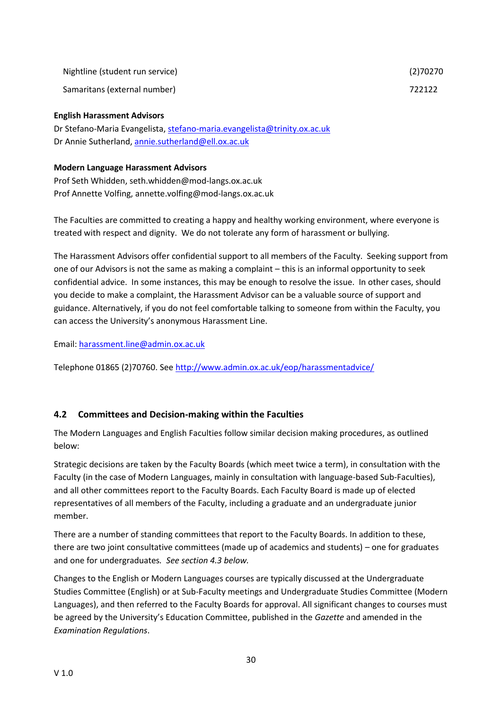| Nightline (student run service) | (2)70270 |
|---------------------------------|----------|
|---------------------------------|----------|

Samaritans (external number) 722122

#### **English Harassment Advisors**

Dr Stefano-Maria Evangelista, [stefano-maria.evangelista@trinity.ox.ac.uk](mailto:stefano-maria.evangelista@trinity.ox.ac.uk) Dr Annie Sutherland[, annie.sutherland@ell.ox.ac.uk](mailto:annie.sutherland@ell.ox.ac.uk)

#### **Modern Language Harassment Advisors**

Prof Seth Whidden, seth.whidden@mod-langs.ox.ac.uk Prof Annette Volfing, annette.volfing@mod-langs.ox.ac.uk

The Faculties are committed to creating a happy and healthy working environment, where everyone is treated with respect and dignity. We do not tolerate any form of harassment or bullying.

The Harassment Advisors offer confidential support to all members of the Faculty. Seeking support from one of our Advisors is not the same as making a complaint – this is an informal opportunity to seek confidential advice. In some instances, this may be enough to resolve the issue. In other cases, should you decide to make a complaint, the Harassment Advisor can be a valuable source of support and guidance. Alternatively, if you do not feel comfortable talking to someone from within the Faculty, you can access the University's anonymous Harassment Line.

Email[: harassment.line@admin.ox.ac.uk](mailto:harassment.line@admin.ox.ac.uk)

Telephone 01865 (2)70760. See<http://www.admin.ox.ac.uk/eop/harassmentadvice/>

#### <span id="page-30-0"></span>**4.2 Committees and Decision-making within the Faculties**

The Modern Languages and English Faculties follow similar decision making procedures, as outlined below:

Strategic decisions are taken by the Faculty Boards (which meet twice a term), in consultation with the Faculty (in the case of Modern Languages, mainly in consultation with language-based Sub-Faculties), and all other committees report to the Faculty Boards. Each Faculty Board is made up of elected representatives of all members of the Faculty, including a graduate and an undergraduate junior member.

There are a number of standing committees that report to the Faculty Boards. In addition to these, there are two joint consultative committees (made up of academics and students) – one for graduates and one for undergraduates*. See section 4.3 below.*

Changes to the English or Modern Languages courses are typically discussed at the Undergraduate Studies Committee (English) or at Sub-Faculty meetings and Undergraduate Studies Committee (Modern Languages), and then referred to the Faculty Boards for approval. All significant changes to courses must be agreed by the University's Education Committee, published in the *Gazette* and amended in the *Examination Regulations*.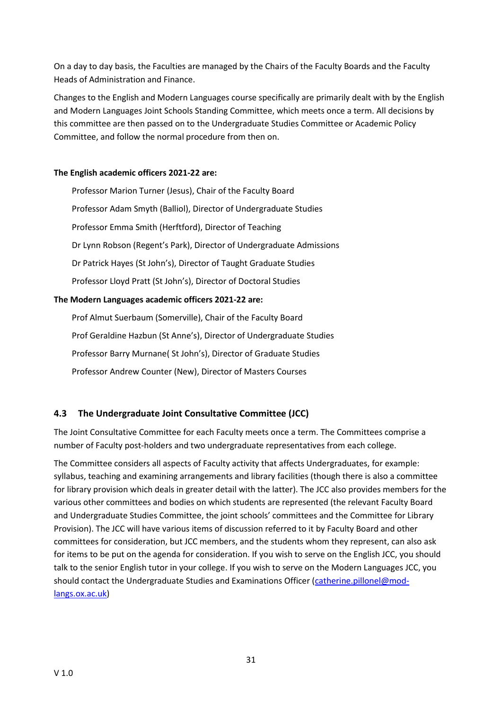On a day to day basis, the Faculties are managed by the Chairs of the Faculty Boards and the Faculty Heads of Administration and Finance.

Changes to the English and Modern Languages course specifically are primarily dealt with by the English and Modern Languages Joint Schools Standing Committee, which meets once a term. All decisions by this committee are then passed on to the Undergraduate Studies Committee or Academic Policy Committee, and follow the normal procedure from then on.

#### **The English academic officers 2021-22 are:**

Professor Marion Turner (Jesus), Chair of the Faculty Board Professor Adam Smyth (Balliol), Director of Undergraduate Studies Professor Emma Smith (Herftford), Director of Teaching Dr Lynn Robson (Regent's Park), Director of Undergraduate Admissions Dr Patrick Hayes (St John's), Director of Taught Graduate Studies Professor Lloyd Pratt (St John's), Director of Doctoral Studies **The Modern Languages academic officers 2021-22 are:**

Prof Almut Suerbaum (Somerville), Chair of the Faculty Board Prof Geraldine Hazbun (St Anne's), Director of Undergraduate Studies Professor Barry Murnane( St John's), Director of Graduate Studies Professor Andrew Counter (New), Director of Masters Courses

# <span id="page-31-0"></span>**4.3 The Undergraduate Joint Consultative Committee (JCC)**

The Joint Consultative Committee for each Faculty meets once a term. The Committees comprise a number of Faculty post-holders and two undergraduate representatives from each college.

The Committee considers all aspects of Faculty activity that affects Undergraduates, for example: syllabus, teaching and examining arrangements and library facilities (though there is also a committee for library provision which deals in greater detail with the latter). The JCC also provides members for the various other committees and bodies on which students are represented (the relevant Faculty Board and Undergraduate Studies Committee, the joint schools' committees and the Committee for Library Provision). The JCC will have various items of discussion referred to it by Faculty Board and other committees for consideration, but JCC members, and the students whom they represent, can also ask for items to be put on the agenda for consideration. If you wish to serve on the English JCC, you should talk to the senior English tutor in your college. If you wish to serve on the Modern Languages JCC, you should contact the Undergraduate Studies and Examinations Officer [\(catherine.pillonel@mod](mailto:catherine.pillonel@mod-langs.ox.ac.uk)[langs.ox.ac.uk\)](mailto:catherine.pillonel@mod-langs.ox.ac.uk)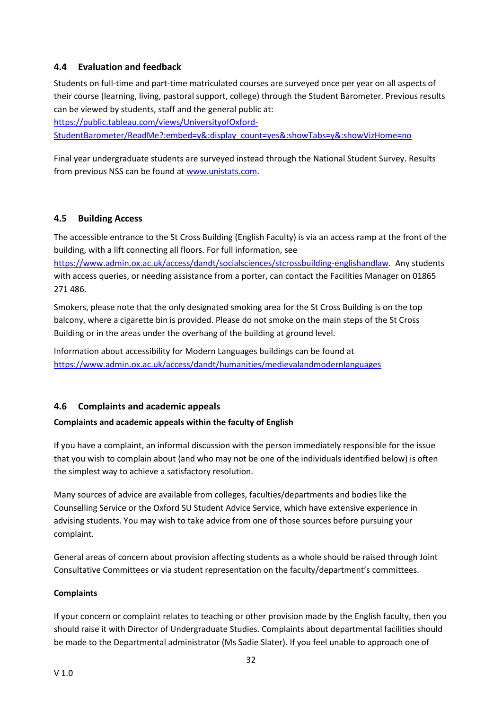#### <span id="page-32-0"></span>**4.4 Evaluation and feedback**

Students on full-time and part-time matriculated courses are surveyed once per year on all aspects of their course (learning, living, pastoral support, college) through the Student Barometer. Previous results can be viewed by students, staff and the general public at:

[https://public.tableau.com/views/UniversityofOxford-](https://public.tableau.com/views/UniversityofOxford-StudentBarometer/ReadMe?:embed=y&:display_count=yes&:showTabs=y&:showVizHome=no)

[StudentBarometer/ReadMe?:embed=y&:display\\_count=yes&:showTabs=y&:showVizHome=no](https://public.tableau.com/views/UniversityofOxford-StudentBarometer/ReadMe?:embed=y&:display_count=yes&:showTabs=y&:showVizHome=no)

Final year undergraduate students are surveyed instead through the National Student Survey. Results from previous NSS can be found at [www.unistats.com.](http://www.unistats.com/)

#### <span id="page-32-1"></span>**4.5 Building Access**

The accessible entrance to the St Cross Building (English Faculty) is via an access ramp at the front of the building, with a lift connecting all floors. For full information, see [https://www.admin.ox.ac.uk/access/dandt/socialsciences/stcrossbuilding-englishandlaw.](https://www.admin.ox.ac.uk/access/dandt/socialsciences/stcrossbuilding-englishandlaw) Any students with access queries, or needing assistance from a porter, can contact the Facilities Manager on 01865 271 486.

Smokers, please note that the only designated smoking area for the St Cross Building is on the top balcony, where a cigarette bin is provided. Please do not smoke on the main steps of the St Cross Building or in the areas under the overhang of the building at ground level.

Information about accessibility for Modern Languages buildings can be found at <https://www.admin.ox.ac.uk/access/dandt/humanities/medievalandmodernlanguages>

#### <span id="page-32-2"></span>**4.6 Complaints and academic appeals**

#### **Complaints and academic appeals within the faculty of English**

If you have a complaint, an informal discussion with the person immediately responsible for the issue that you wish to complain about (and who may not be one of the individuals identified below) is often the simplest way to achieve a satisfactory resolution.

Many sources of advice are available from colleges, faculties/departments and bodies like the Counselling Service or the Oxford SU Student Advice Service, which have extensive experience in advising students. You may wish to take advice from one of those sources before pursuing your complaint.

General areas of concern about provision affecting students as a whole should be raised through Joint Consultative Committees or via student representation on the faculty/department's committees.

#### **Complaints**

If your concern or complaint relates to teaching or other provision made by the English faculty, then you should raise it with Director of Undergraduate Studies. Complaints about departmental facilities should be made to the Departmental administrator (Ms Sadie Slater). If you feel unable to approach one of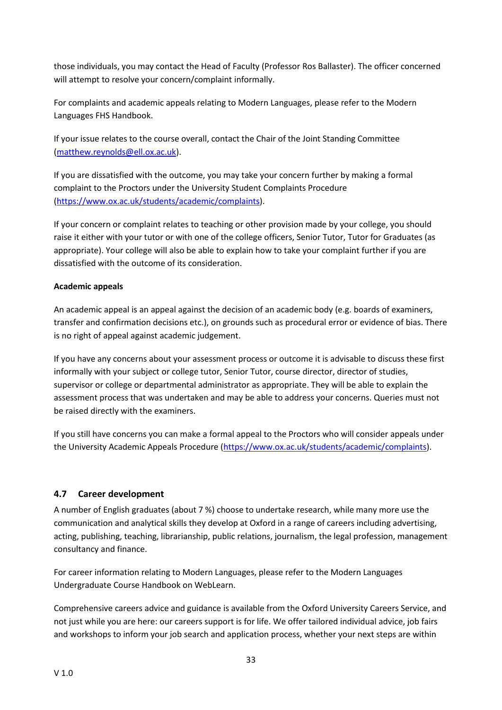those individuals, you may contact the Head of Faculty (Professor Ros Ballaster). The officer concerned will attempt to resolve your concern/complaint informally.

For complaints and academic appeals relating to Modern Languages, please refer to the Modern Languages FHS Handbook.

If your issue relates to the course overall, contact the Chair of the Joint Standing Committee [\(matthew.reynolds@ell.ox.ac.uk\)](mailto:matthew.reynolds@ell.ox.ac.uk).

If you are dissatisfied with the outcome, you may take your concern further by making a formal complaint to the Proctors under the University Student Complaints Procedure [\(https://www.ox.ac.uk/students/academic/complaints\)](https://www.ox.ac.uk/students/academic/complaints).

If your concern or complaint relates to teaching or other provision made by your college, you should raise it either with your tutor or with one of the college officers, Senior Tutor, Tutor for Graduates (as appropriate). Your college will also be able to explain how to take your complaint further if you are dissatisfied with the outcome of its consideration.

#### **Academic appeals**

An academic appeal is an appeal against the decision of an academic body (e.g. boards of examiners, transfer and confirmation decisions etc.), on grounds such as procedural error or evidence of bias. There is no right of appeal against academic judgement.

If you have any concerns about your assessment process or outcome it is advisable to discuss these first informally with your subject or college tutor, Senior Tutor, course director, director of studies, supervisor or college or departmental administrator as appropriate. They will be able to explain the assessment process that was undertaken and may be able to address your concerns. Queries must not be raised directly with the examiners.

If you still have concerns you can make a formal appeal to the Proctors who will consider appeals under the University Academic Appeals Procedure [\(https://www.ox.ac.uk/students/academic/complaints\)](https://www.ox.ac.uk/students/academic/complaints).

#### <span id="page-33-0"></span>**4.7 Career development**

A number of English graduates (about 7 %) choose to undertake research, while many more use the communication and analytical skills they develop at Oxford in a range of careers including advertising, acting, publishing, teaching, librarianship, public relations, journalism, the legal profession, management consultancy and finance.

For career information relating to Modern Languages, please refer to the Modern Languages Undergraduate Course Handbook on WebLearn.

Comprehensive careers advice and guidance is available from the Oxford University Careers Service, and not just while you are here: our careers support is for life. We offer tailored individual advice, job fairs and workshops to inform your job search and application process, whether your next steps are within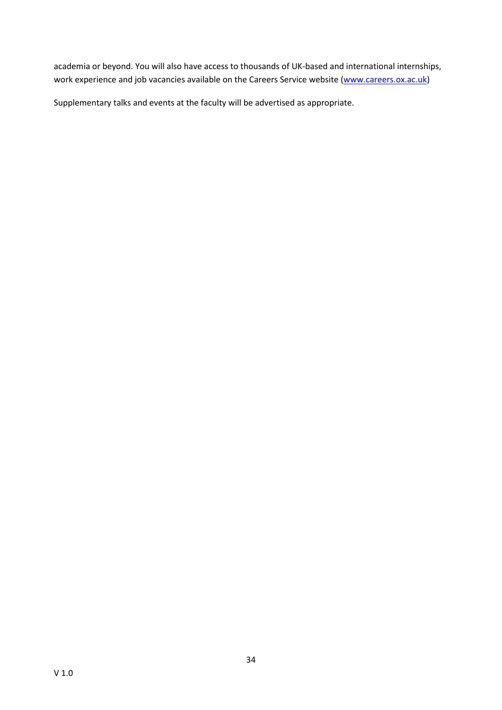academia or beyond. You will also have access to thousands of UK-based and international internships, work experience and job vacancies available on the Careers Service website [\(www.careers.ox.ac.uk\)](http://www.careers.ox.ac.uk/)

Supplementary talks and events at the faculty will be advertised as appropriate.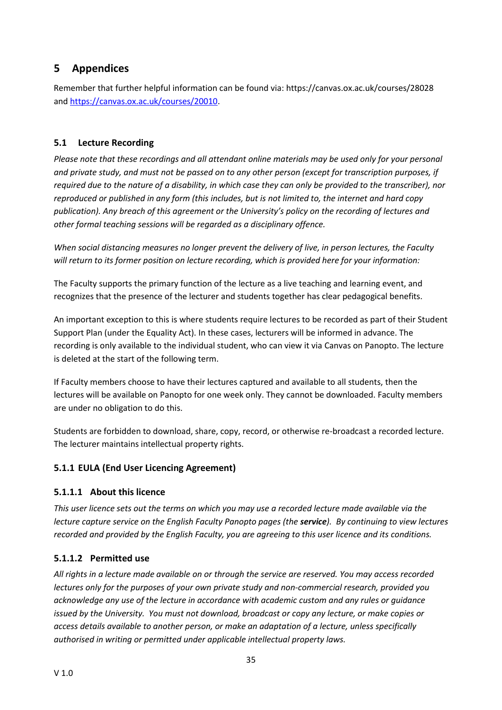# <span id="page-35-0"></span>**5 Appendices**

Remember that further helpful information can be found via: https://canvas.ox.ac.uk/courses/28028 and [https://canvas.ox.ac.uk/courses/20010.](https://canvas.ox.ac.uk/courses/20010)

# <span id="page-35-1"></span>**5.1 Lecture Recording**

*Please note that these recordings and all attendant online materials may be used only for your personal and private study, and must not be passed on to any other person (except for transcription purposes, if required due to the nature of a disability, in which case they can only be provided to the transcriber), nor reproduced or published in any form (this includes, but is not limited to, the internet and hard copy publication). Any breach of this agreement or the University's policy on the recording of lectures and other formal teaching sessions will be regarded as a disciplinary offence.*

*When social distancing measures no longer prevent the delivery of live, in person lectures, the Faculty will return to its former position on lecture recording, which is provided here for your information:*

The Faculty supports the primary function of the lecture as a live teaching and learning event, and recognizes that the presence of the lecturer and students together has clear pedagogical benefits.

An important exception to this is where students require lectures to be recorded as part of their Student Support Plan (under the Equality Act). In these cases, lecturers will be informed in advance. The recording is only available to the individual student, who can view it via Canvas on Panopto. The lecture is deleted at the start of the following term.

If Faculty members choose to have their lectures captured and available to all students, then the lectures will be available on Panopto for one week only. They cannot be downloaded. Faculty members are under no obligation to do this.

Students are forbidden to download, share, copy, record, or otherwise re-broadcast a recorded lecture. The lecturer maintains intellectual property rights.

# <span id="page-35-2"></span>**5.1.1 EULA (End User Licencing Agreement)**

# **5.1.1.1 About this licence**

*This user licence sets out the terms on which you may use a recorded lecture made available via the lecture capture service on the English Faculty Panopto pages (the service). By continuing to view lectures recorded and provided by the English Faculty, you are agreeing to this user licence and its conditions.*

# **5.1.1.2 Permitted use**

*All rights in a lecture made available on or through the service are reserved. You may access recorded lectures only for the purposes of your own private study and non-commercial research, provided you acknowledge any use of the lecture in accordance with academic custom and any rules or guidance issued by the University. You must not download, broadcast or copy any lecture, or make copies or access details available to another person, or make an adaptation of a lecture, unless specifically authorised in writing or permitted under applicable intellectual property laws.*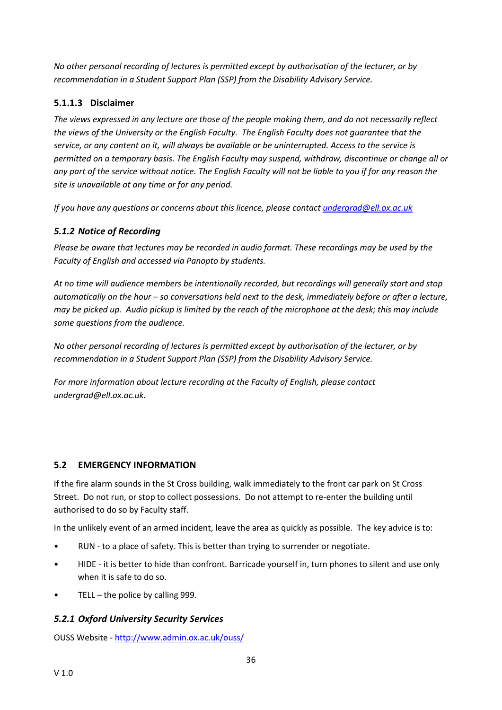*No other personal recording of lectures is permitted except by authorisation of the lecturer, or by recommendation in a Student Support Plan (SSP) from the Disability Advisory Service.*

# **5.1.1.3 Disclaimer**

*The views expressed in any lecture are those of the people making them, and do not necessarily reflect the views of the University or the English Faculty. The English Faculty does not guarantee that the service, or any content on it, will always be available or be uninterrupted. Access to the service is permitted on a temporary basis. The English Faculty may suspend, withdraw, discontinue or change all or any part of the service without notice. The English Faculty will not be liable to you if for any reason the site is unavailable at any time or for any period.*

*If you have any questions or concerns about this licence, please contact [undergrad@ell.ox.ac.uk](mailto:undergrad@ell.ox.ac.uk)*

# <span id="page-36-0"></span>*5.1.2 Notice of Recording*

*Please be aware that lectures may be recorded in audio format. These recordings may be used by the Faculty of English and accessed via Panopto by students.*

*At no time will audience members be intentionally recorded, but recordings will generally start and stop automatically on the hour – so conversations held next to the desk, immediately before or after a lecture, may be picked up. Audio pickup is limited by the reach of the microphone at the desk; this may include some questions from the audience.*

*No other personal recording of lectures is permitted except by authorisation of the lecturer, or by recommendation in a Student Support Plan (SSP) from the Disability Advisory Service.*

*For more information about lecture recording at the Faculty of English, please contact undergrad@ell.ox.ac.uk.*

#### <span id="page-36-1"></span>**5.2 EMERGENCY INFORMATION**

If the fire alarm sounds in the St Cross building, walk immediately to the front car park on St Cross Street. Do not run, or stop to collect possessions. Do not attempt to re-enter the building until authorised to do so by Faculty staff.

In the unlikely event of an armed incident, leave the area as quickly as possible. The key advice is to:

- RUN to a place of safety. This is better than trying to surrender or negotiate.
- HIDE it is better to hide than confront. Barricade yourself in, turn phones to silent and use only when it is safe to do so.
- TELL the police by calling  $999$ .

# <span id="page-36-2"></span>*5.2.1 Oxford University Security Services*

OUSS Website - <http://www.admin.ox.ac.uk/ouss/>